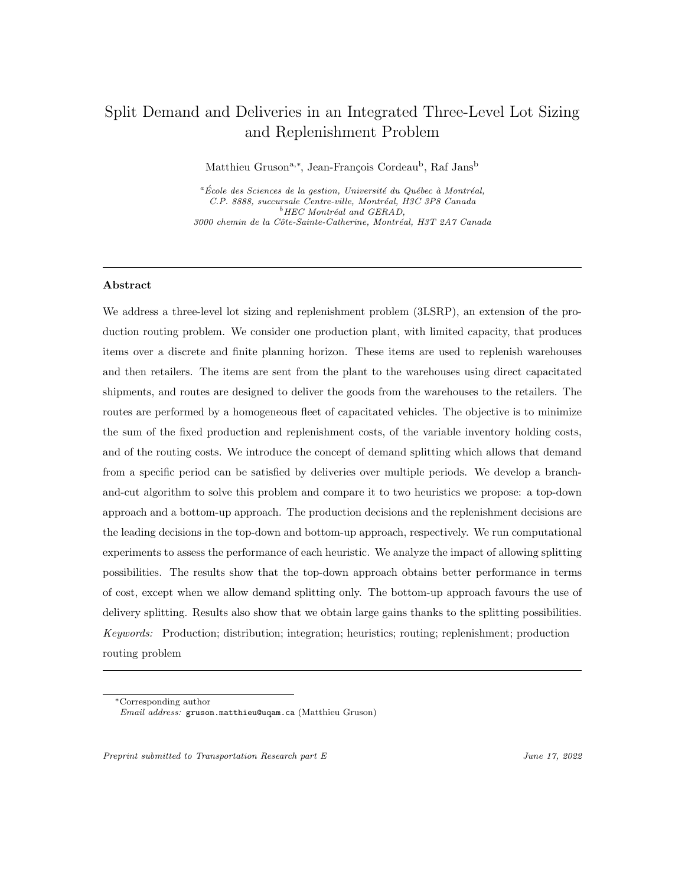# Split Demand and Deliveries in an Integrated Three-Level Lot Sizing and Replenishment Problem

Matthieu Gruson<sup>a,∗</sup>, Jean-François Cordeau<sup>b</sup>, Raf Jans<sup>b</sup>

 ${}^a$ École des Sciences de la gestion, Université du Québec à Montréal, C.P. 8888, succursale Centre-ville, Montréal, H3C 3P8 Canada  $^{b}$  HEC Montréal and GERAD, 3000 chemin de la Côte-Sainte-Catherine, Montréal, H3T 2A7 Canada

## Abstract

We address a three-level lot sizing and replenishment problem (3LSRP), an extension of the production routing problem. We consider one production plant, with limited capacity, that produces items over a discrete and finite planning horizon. These items are used to replenish warehouses and then retailers. The items are sent from the plant to the warehouses using direct capacitated shipments, and routes are designed to deliver the goods from the warehouses to the retailers. The routes are performed by a homogeneous fleet of capacitated vehicles. The objective is to minimize the sum of the fixed production and replenishment costs, of the variable inventory holding costs, and of the routing costs. We introduce the concept of demand splitting which allows that demand from a specific period can be satisfied by deliveries over multiple periods. We develop a branchand-cut algorithm to solve this problem and compare it to two heuristics we propose: a top-down approach and a bottom-up approach. The production decisions and the replenishment decisions are the leading decisions in the top-down and bottom-up approach, respectively. We run computational experiments to assess the performance of each heuristic. We analyze the impact of allowing splitting possibilities. The results show that the top-down approach obtains better performance in terms of cost, except when we allow demand splitting only. The bottom-up approach favours the use of delivery splitting. Results also show that we obtain large gains thanks to the splitting possibilities. Keywords: Production; distribution; integration; heuristics; routing; replenishment; production routing problem

<sup>∗</sup>Corresponding author Email address: gruson.matthieu@uqam.ca (Matthieu Gruson)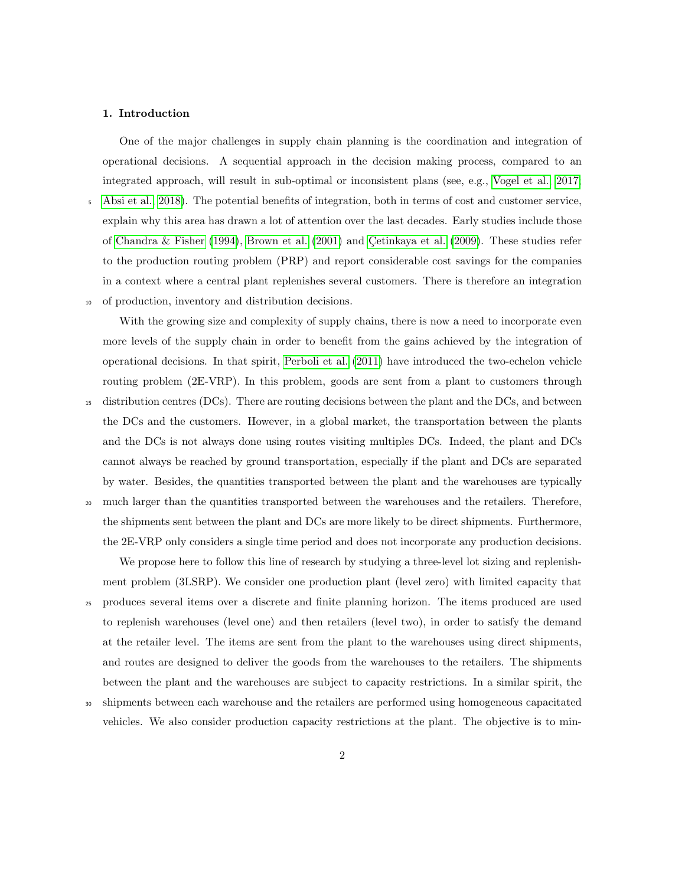#### 1. Introduction

One of the major challenges in supply chain planning is the coordination and integration of operational decisions. A sequential approach in the decision making process, compared to an integrated approach, will result in sub-optimal or inconsistent plans (see, e.g., [Vogel et al., 2017;](#page-38-0)

<sup>5</sup> [Absi et al., 2018\)](#page-34-0). The potential benefits of integration, both in terms of cost and customer service, explain why this area has drawn a lot of attention over the last decades. Early studies include those of [Chandra & Fisher](#page-35-0) [\(1994\)](#page-35-0), [Brown et al.](#page-35-1)  $(2001)$  and Cetinkaya et al.  $(2009)$ . These studies refer to the production routing problem (PRP) and report considerable cost savings for the companies in a context where a central plant replenishes several customers. There is therefore an integration <sup>10</sup> of production, inventory and distribution decisions.

With the growing size and complexity of supply chains, there is now a need to incorporate even more levels of the supply chain in order to benefit from the gains achieved by the integration of operational decisions. In that spirit, [Perboli et al.](#page-37-0) [\(2011\)](#page-37-0) have introduced the two-echelon vehicle routing problem (2E-VRP). In this problem, goods are sent from a plant to customers through <sup>15</sup> distribution centres (DCs). There are routing decisions between the plant and the DCs, and between the DCs and the customers. However, in a global market, the transportation between the plants and the DCs is not always done using routes visiting multiples DCs. Indeed, the plant and DCs cannot always be reached by ground transportation, especially if the plant and DCs are separated by water. Besides, the quantities transported between the plant and the warehouses are typically <sup>20</sup> much larger than the quantities transported between the warehouses and the retailers. Therefore,

the shipments sent between the plant and DCs are more likely to be direct shipments. Furthermore, the 2E-VRP only considers a single time period and does not incorporate any production decisions.

We propose here to follow this line of research by studying a three-level lot sizing and replenishment problem (3LSRP). We consider one production plant (level zero) with limited capacity that <sup>25</sup> produces several items over a discrete and finite planning horizon. The items produced are used to replenish warehouses (level one) and then retailers (level two), in order to satisfy the demand at the retailer level. The items are sent from the plant to the warehouses using direct shipments, and routes are designed to deliver the goods from the warehouses to the retailers. The shipments between the plant and the warehouses are subject to capacity restrictions. In a similar spirit, the

<sup>30</sup> shipments between each warehouse and the retailers are performed using homogeneous capacitated vehicles. We also consider production capacity restrictions at the plant. The objective is to min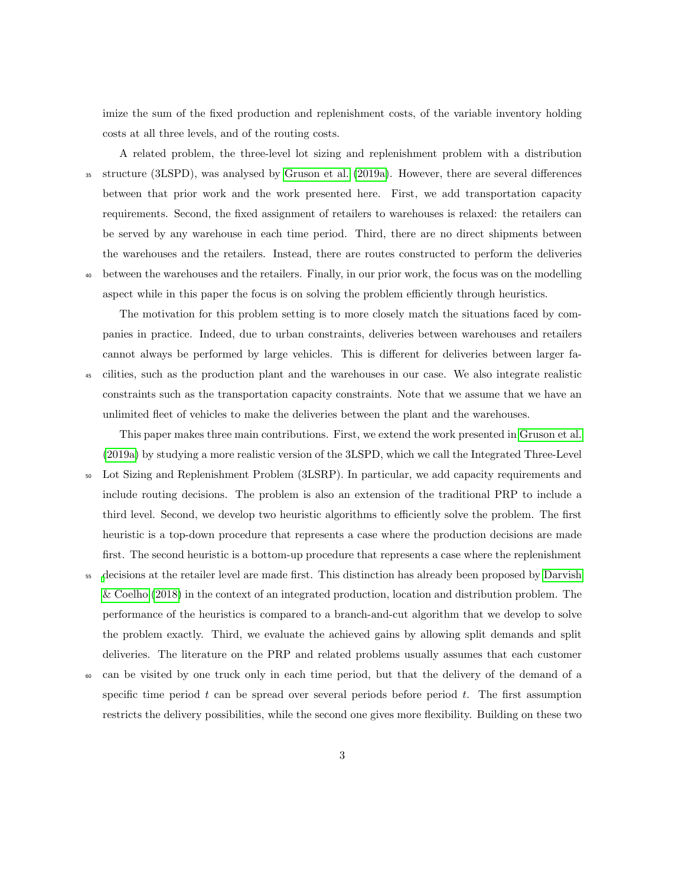imize the sum of the fixed production and replenishment costs, of the variable inventory holding costs at all three levels, and of the routing costs.

A related problem, the three-level lot sizing and replenishment problem with a distribution <sup>35</sup> structure (3LSPD), was analysed by [Gruson et al.](#page-36-1) [\(2019a\)](#page-36-1). However, there are several differences between that prior work and the work presented here. First, we add transportation capacity requirements. Second, the fixed assignment of retailers to warehouses is relaxed: the retailers can be served by any warehouse in each time period. Third, there are no direct shipments between the warehouses and the retailers. Instead, there are routes constructed to perform the deliveries <sup>40</sup> between the warehouses and the retailers. Finally, in our prior work, the focus was on the modelling aspect while in this paper the focus is on solving the problem efficiently through heuristics.

The motivation for this problem setting is to more closely match the situations faced by companies in practice. Indeed, due to urban constraints, deliveries between warehouses and retailers cannot always be performed by large vehicles. This is different for deliveries between larger fa-<sup>45</sup> cilities, such as the production plant and the warehouses in our case. We also integrate realistic constraints such as the transportation capacity constraints. Note that we assume that we have an

unlimited fleet of vehicles to make the deliveries between the plant and the warehouses.

This paper makes three main contributions. First, we extend the work presented in [Gruson et al.](#page-36-1) [\(2019a\)](#page-36-1) by studying a more realistic version of the 3LSPD, which we call the Integrated Three-Level <sup>50</sup> Lot Sizing and Replenishment Problem (3LSRP). In particular, we add capacity requirements and

- include routing decisions. The problem is also an extension of the traditional PRP to include a third level. Second, we develop two heuristic algorithms to efficiently solve the problem. The first heuristic is a top-down procedure that represents a case where the production decisions are made first. The second heuristic is a bottom-up procedure that represents a case where the replenishment
- <sup>55</sup> [d](#page-35-2)ecisions at the retailer level are made first. This distinction has already been proposed by [Darvish](#page-35-2) [& Coelho](#page-35-2) [\(2018\)](#page-35-2) in the context of an integrated production, location and distribution problem. The performance of the heuristics is compared to a branch-and-cut algorithm that we develop to solve the problem exactly. Third, we evaluate the achieved gains by allowing split demands and split deliveries. The literature on the PRP and related problems usually assumes that each customer
- <sup>60</sup> can be visited by one truck only in each time period, but that the delivery of the demand of a specific time period  $t$  can be spread over several periods before period  $t$ . The first assumption restricts the delivery possibilities, while the second one gives more flexibility. Building on these two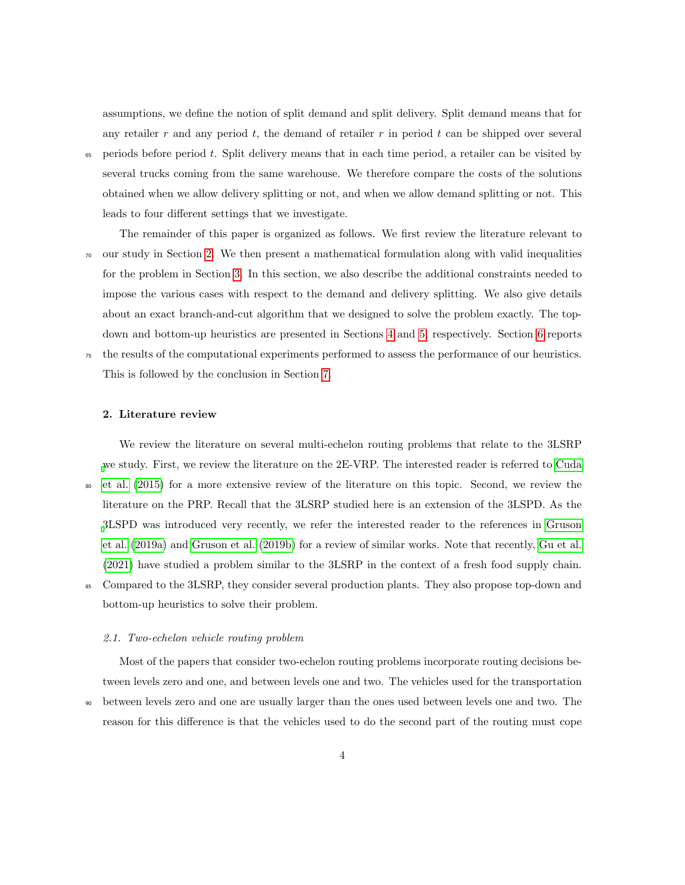assumptions, we define the notion of split demand and split delivery. Split demand means that for any retailer  $r$  and any period  $t$ , the demand of retailer  $r$  in period  $t$  can be shipped over several <sup>65</sup> periods before period t. Split delivery means that in each time period, a retailer can be visited by several trucks coming from the same warehouse. We therefore compare the costs of the solutions obtained when we allow delivery splitting or not, and when we allow demand splitting or not. This

leads to four different settings that we investigate.

The remainder of this paper is organized as follows. We first review the literature relevant to  $\sigma$  our study in Section [2.](#page-3-0) We then present a mathematical formulation along with valid inequalities for the problem in Section [3.](#page-5-0) In this section, we also describe the additional constraints needed to impose the various cases with respect to the demand and delivery splitting. We also give details about an exact branch-and-cut algorithm that we designed to solve the problem exactly. The topdown and bottom-up heuristics are presented in Sections [4](#page-11-0) and [5,](#page-19-0) respectively. Section [6](#page-23-0) reports <sup>75</sup> the results of the computational experiments performed to assess the performance of our heuristics. This is followed by the conclusion in Section [7.](#page-33-0)

#### <span id="page-3-0"></span>2. Literature review

We review the literature on several multi-echelon routing problems that relate to the 3LSRP [w](#page-35-3)e study. First, we review the literature on the 2E-VRP. The interested reader is referred to [Cuda](#page-35-3) <sup>80</sup> [et al.](#page-35-3) [\(2015\)](#page-35-3) for a more extensive review of the literature on this topic. Second, we review the literature on the PRP. Recall that the 3LSRP studied here is an extension of the 3LSPD. As the [3](#page-36-1)LSPD was introduced very recently, we refer the interested reader to the references in [Gruson](#page-36-1) [et al.](#page-36-1) [\(2019a\)](#page-36-1) and [Gruson et al.](#page-36-2) [\(2019b\)](#page-36-2) for a review of similar works. Note that recently, [Gu et al.](#page-36-3) [\(2021\)](#page-36-3) have studied a problem similar to the 3LSRP in the context of a fresh food supply chain. <sup>85</sup> Compared to the 3LSRP, they consider several production plants. They also propose top-down and

bottom-up heuristics to solve their problem.

#### 2.1. Two-echelon vehicle routing problem

Most of the papers that consider two-echelon routing problems incorporate routing decisions between levels zero and one, and between levels one and two. The vehicles used for the transportation <sup>90</sup> between levels zero and one are usually larger than the ones used between levels one and two. The reason for this difference is that the vehicles used to do the second part of the routing must cope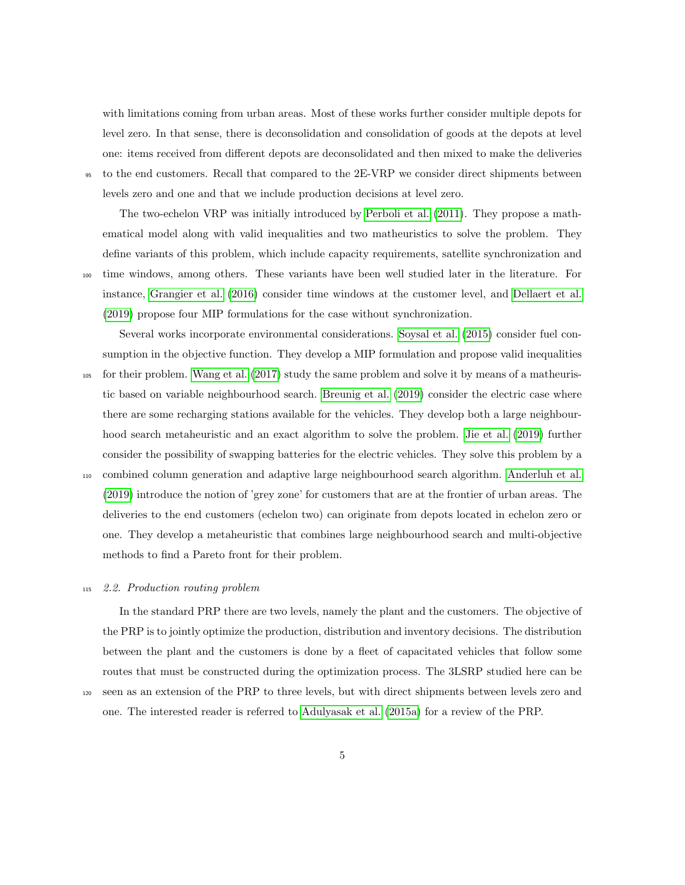with limitations coming from urban areas. Most of these works further consider multiple depots for level zero. In that sense, there is deconsolidation and consolidation of goods at the depots at level one: items received from different depots are deconsolidated and then mixed to make the deliveries

<sup>95</sup> to the end customers. Recall that compared to the 2E-VRP we consider direct shipments between levels zero and one and that we include production decisions at level zero.

The two-echelon VRP was initially introduced by [Perboli et al.](#page-37-0) [\(2011\)](#page-37-0). They propose a mathematical model along with valid inequalities and two matheuristics to solve the problem. They define variants of this problem, which include capacity requirements, satellite synchronization and <sup>100</sup> time windows, among others. These variants have been well studied later in the literature. For

instance, [Grangier et al.](#page-36-4) [\(2016\)](#page-36-4) consider time windows at the customer level, and [Dellaert et al.](#page-36-5) [\(2019\)](#page-36-5) propose four MIP formulations for the case without synchronization.

Several works incorporate environmental considerations. [Soysal et al.](#page-37-1) [\(2015\)](#page-37-1) consider fuel consumption in the objective function. They develop a MIP formulation and propose valid inequalities

- <sup>105</sup> for their problem. [Wang et al.](#page-38-1) [\(2017\)](#page-38-1) study the same problem and solve it by means of a matheuristic based on variable neighbourhood search. [Breunig et al.](#page-35-4) [\(2019\)](#page-35-4) consider the electric case where there are some recharging stations available for the vehicles. They develop both a large neighbourhood search metaheuristic and an exact algorithm to solve the problem. [Jie et al.](#page-36-6) [\(2019\)](#page-36-6) further consider the possibility of swapping batteries for the electric vehicles. They solve this problem by a
- <sup>110</sup> combined column generation and adaptive large neighbourhood search algorithm. [Anderluh et al.](#page-34-1) [\(2019\)](#page-34-1) introduce the notion of 'grey zone' for customers that are at the frontier of urban areas. The deliveries to the end customers (echelon two) can originate from depots located in echelon zero or one. They develop a metaheuristic that combines large neighbourhood search and multi-objective methods to find a Pareto front for their problem.

## <sup>115</sup> 2.2. Production routing problem

In the standard PRP there are two levels, namely the plant and the customers. The objective of the PRP is to jointly optimize the production, distribution and inventory decisions. The distribution between the plant and the customers is done by a fleet of capacitated vehicles that follow some routes that must be constructed during the optimization process. The 3LSRP studied here can be

<sup>120</sup> seen as an extension of the PRP to three levels, but with direct shipments between levels zero and

one. The interested reader is referred to [Adulyasak et al.](#page-34-2) [\(2015a\)](#page-34-2) for a review of the PRP.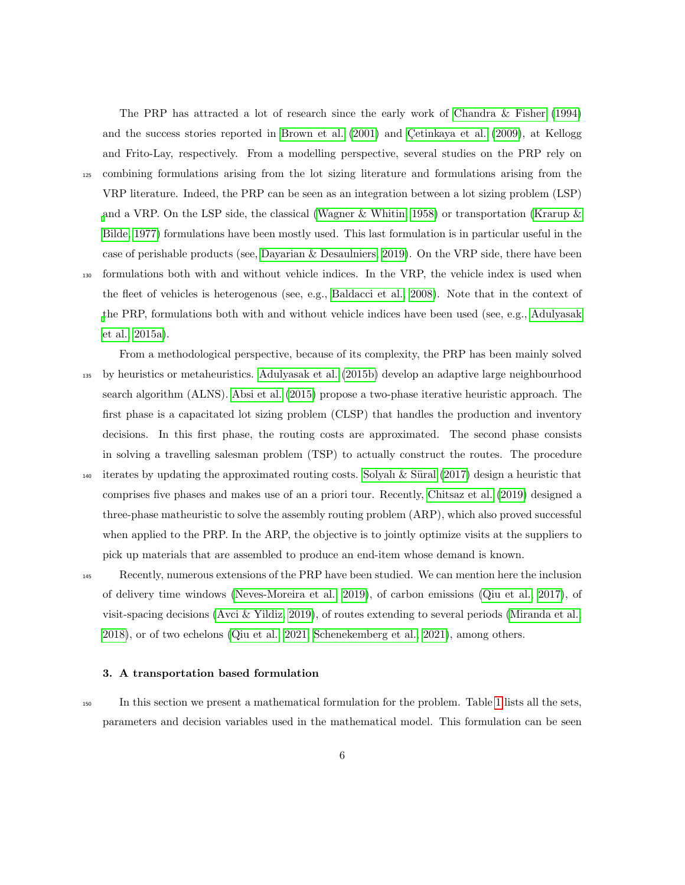and Frito-Lay, respectively. From a modelling perspective, several studies on the PRP rely on <sup>125</sup> combining formulations arising from the lot sizing literature and formulations arising from the

VRP literature. Indeed, the PRP can be seen as an integration between a lot sizing problem (LSP) [a](#page-36-7)nd a VRP. On the LSP side, the classical [\(Wagner & Whitin, 1958\)](#page-38-2) or transportation [\(Krarup &](#page-36-7) [Bilde, 1977\)](#page-36-7) formulations have been mostly used. This last formulation is in particular useful in the case of perishable products (see, [Dayarian & Desaulniers, 2019\)](#page-35-5). On the VRP side, there have been <sup>130</sup> formulations both with and without vehicle indices. In the VRP, the vehicle index is used when the fleet of vehicles is heterogenous (see, e.g., [Baldacci et al., 2008\)](#page-35-6). Note that in the context of [t](#page-34-2)he PRP, formulations both with and without vehicle indices have been used (see, e.g., [Adulyasak](#page-34-2) [et al., 2015a\)](#page-34-2).

The PRP has attracted a lot of research since the early work of [Chandra & Fisher](#page-35-0) [\(1994\)](#page-35-0) and the success stories reported in [Brown et al.](#page-35-1) [\(2001\)](#page-35-1) and Cetinkaya et al. [\(2009\)](#page-36-0), at Kellogg

From a methodological perspective, because of its complexity, the PRP has been mainly solved <sup>135</sup> by heuristics or metaheuristics. [Adulyasak et al.](#page-34-3) [\(2015b\)](#page-34-3) develop an adaptive large neighbourhood search algorithm (ALNS). [Absi et al.](#page-34-4) [\(2015\)](#page-34-4) propose a two-phase iterative heuristic approach. The first phase is a capacitated lot sizing problem (CLSP) that handles the production and inventory decisions. In this first phase, the routing costs are approximated. The second phase consists in solving a travelling salesman problem (TSP) to actually construct the routes. The procedure 140 iterates by updating the approximated routing costs. Solyalı & Süral [\(2017\)](#page-37-2) design a heuristic that comprises five phases and makes use of an a priori tour. Recently, [Chitsaz et al.](#page-35-7) [\(2019\)](#page-35-7) designed a three-phase matheuristic to solve the assembly routing problem (ARP), which also proved successful when applied to the PRP. In the ARP, the objective is to jointly optimize visits at the suppliers to pick up materials that are assembled to produce an end-item whose demand is known.

<sup>145</sup> Recently, numerous extensions of the PRP have been studied. We can mention here the inclusion of delivery time windows [\(Neves-Moreira et al., 2019\)](#page-37-3), of carbon emissions [\(Qiu et al., 2017\)](#page-37-4), of visit-spacing decisions [\(Avci & Yildiz, 2019\)](#page-35-8), of routes extending to several periods [\(Miranda et al.,](#page-37-5) [2018\)](#page-37-5), or of two echelons [\(Qiu et al., 2021;](#page-37-6) [Schenekemberg et al., 2021\)](#page-37-7), among others.

#### <span id="page-5-0"></span>3. A transportation based formulation

<sup>150</sup> In this section we present a mathematical formulation for the problem. Table [1](#page-6-0) lists all the sets, parameters and decision variables used in the mathematical model. This formulation can be seen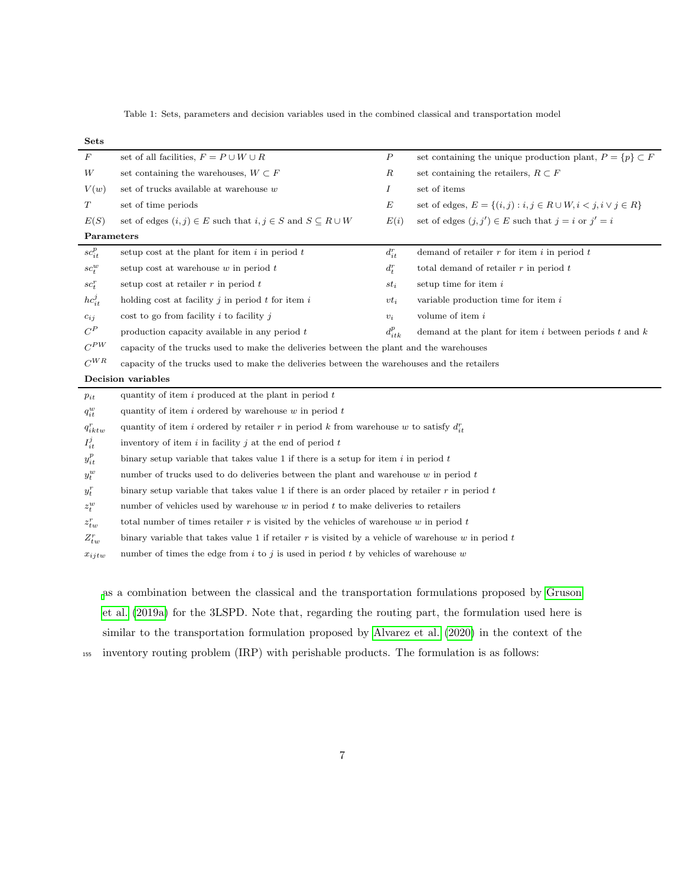<span id="page-6-0"></span>Table 1: Sets, parameters and decision variables used in the combined classical and transportation model

| <b>Sets</b>              |                                                                                                     |                  |                                                                           |  |  |  |  |  |  |  |  |  |
|--------------------------|-----------------------------------------------------------------------------------------------------|------------------|---------------------------------------------------------------------------|--|--|--|--|--|--|--|--|--|
| F                        | set of all facilities, $F = P \cup W \cup R$                                                        | $\boldsymbol{P}$ | set containing the unique production plant, $P = \{p\} \subset F$         |  |  |  |  |  |  |  |  |  |
| W                        | set containing the warehouses, $W \subset F$                                                        | $_{R}$           | set containing the retailers, $R \subset F$                               |  |  |  |  |  |  |  |  |  |
| V(w)                     | set of trucks available at warehouse $w$                                                            | Ι                | set of items                                                              |  |  |  |  |  |  |  |  |  |
| $\cal T$                 | set of time periods                                                                                 | $\boldsymbol{E}$ | set of edges, $E = \{(i, j) : i, j \in R \cup W, i < j, i \vee j \in R\}$ |  |  |  |  |  |  |  |  |  |
| E(S)                     | set of edges $(i, j) \in E$ such that $i, j \in S$ and $S \subseteq R \cup W$                       | E(i)             | set of edges $(j, j') \in E$ such that $j = i$ or $j' = i$                |  |  |  |  |  |  |  |  |  |
| Parameters               |                                                                                                     |                  |                                                                           |  |  |  |  |  |  |  |  |  |
| $\boldsymbol{sc}^p_{it}$ | setup cost at the plant for item $i$ in period $t$                                                  | $d_{it}^r$       | demand of retailer $r$ for item $i$ in period $t$                         |  |  |  |  |  |  |  |  |  |
| $sc_t^w$                 | setup cost at warehouse $w$ in period $t$                                                           | $d_t^r$          | total demand of retailer $r$ in period $t$                                |  |  |  |  |  |  |  |  |  |
| $sc_t^r$                 | setup cost at retailer $r$ in period $t$                                                            | $st_i$           | setup time for item $i$                                                   |  |  |  |  |  |  |  |  |  |
| $hc_{it}^j$              | holding cost at facility $j$ in period $t$ for item $i$                                             | $vt_i$           | variable production time for item $i$                                     |  |  |  |  |  |  |  |  |  |
| $c_{ij}$                 | cost to go from facility $i$ to facility $j$                                                        | $v_i$            | volume of item $i$                                                        |  |  |  |  |  |  |  |  |  |
| $\mathbb{C}^P$           | production capacity available in any period $t$                                                     | $d_{itk}^p$      | demand at the plant for item $i$ between periods $t$ and $k$              |  |  |  |  |  |  |  |  |  |
| $C^{PW}$                 | capacity of the trucks used to make the deliveries between the plant and the warehouses             |                  |                                                                           |  |  |  |  |  |  |  |  |  |
| $C^{WR}$                 | capacity of the trucks used to make the deliveries between the warehouses and the retailers         |                  |                                                                           |  |  |  |  |  |  |  |  |  |
|                          | Decision variables                                                                                  |                  |                                                                           |  |  |  |  |  |  |  |  |  |
| $p_{it}$                 | quantity of item $i$ produced at the plant in period $t$                                            |                  |                                                                           |  |  |  |  |  |  |  |  |  |
| $q^w_{it}$               | quantity of item $i$ ordered by warehouse $w$ in period $t$                                         |                  |                                                                           |  |  |  |  |  |  |  |  |  |
| $q_{iktw}^r$             | quantity of item i ordered by retailer r in period k from warehouse w to satisfy $d_{it}^r$         |                  |                                                                           |  |  |  |  |  |  |  |  |  |
| $I^j_{it}$               | inventory of item $i$ in facility $j$ at the end of period $t$                                      |                  |                                                                           |  |  |  |  |  |  |  |  |  |
| $\boldsymbol{y}_{it}^p$  | binary setup variable that takes value 1 if there is a setup for item i in period $t$               |                  |                                                                           |  |  |  |  |  |  |  |  |  |
| $y_t^w$                  | number of trucks used to do deliveries between the plant and warehouse $w$ in period $t$            |                  |                                                                           |  |  |  |  |  |  |  |  |  |
| $\boldsymbol{y}_t^r$     | binary setup variable that takes value 1 if there is an order placed by retailer r in period $t$    |                  |                                                                           |  |  |  |  |  |  |  |  |  |
| $z_t^w$                  | number of vehicles used by warehouse $w$ in period $t$ to make deliveries to retailers              |                  |                                                                           |  |  |  |  |  |  |  |  |  |
| $z_{tw}^r$               | total number of times retailer $r$ is visited by the vehicles of warehouse $w$ in period $t$        |                  |                                                                           |  |  |  |  |  |  |  |  |  |
| $Z_{tw}^r$               | binary variable that takes value 1 if retailer r is visited by a vehicle of warehouse w in period t |                  |                                                                           |  |  |  |  |  |  |  |  |  |
| $x_{ijtw}$               | number of times the edge from i to j is used in period t by vehicles of warehouse w                 |                  |                                                                           |  |  |  |  |  |  |  |  |  |
|                          |                                                                                                     |                  |                                                                           |  |  |  |  |  |  |  |  |  |

[a](#page-36-1)s a combination between the classical and the transportation formulations proposed by [Gruson](#page-36-1) [et al.](#page-36-1) [\(2019a\)](#page-36-1) for the 3LSPD. Note that, regarding the routing part, the formulation used here is similar to the transportation formulation proposed by [Alvarez et al.](#page-34-5) [\(2020\)](#page-34-5) in the context of the

<sup>155</sup> inventory routing problem (IRP) with perishable products. The formulation is as follows: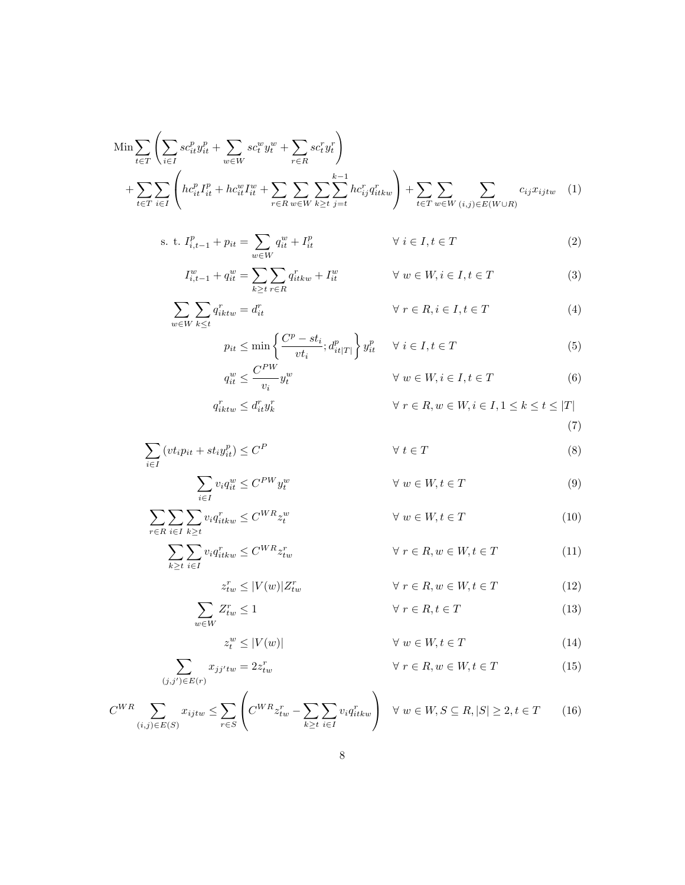$$
\begin{split} \text{Min} & \sum_{t \in T} \left( \sum_{i \in I} s c_{it}^p y_{it}^p + \sum_{w \in W} s c_t^w y_t^w + \sum_{r \in R} s c_t^r y_t^r \right) \\ &+ \sum_{t \in T} \sum_{i \in I} \left( h c_{it}^p I_{it}^p + h c_{it}^w I_{it}^w + \sum_{r \in R} \sum_{w \in W} \sum_{k \ge t} \sum_{j=t}^{k-1} h c_{ij}^r q_{itkw}^r \right) + \sum_{t \in T} \sum_{w \in W} \sum_{(i,j) \in E(W \cup R)} c_{ij} x_{ijtw} \end{split} \tag{1}
$$

s. t. 
$$
I_{i,t-1}^p + p_{it} = \sum_{w \in W} q_{it}^w + I_{it}^p
$$
  $\forall i \in I, t \in T$  (2)

$$
I_{i,t-1}^w + q_{it}^w = \sum_{k \ge t} \sum_{r \in R} q_{itkw}^r + I_{it}^w \qquad \forall w \in W, i \in I, t \in T
$$
 (3)

$$
\sum_{w \in W} \sum_{k \le t} q_{iktw}^r = d_{it}^r \qquad \qquad \forall \ r \in R, i \in I, t \in T \tag{4}
$$

$$
p_{it} \le \min\left\{\frac{C^p - st_i}{vt_i}; d_{it|T|}^p\right\} y_{it}^p \quad \forall \ i \in I, t \in T
$$
\n
$$
G_{i}^{PW} \tag{5}
$$

$$
q_{it}^w \le \frac{C^{PW}}{v_i} y_t^w \qquad \qquad \forall \ w \in W, i \in I, t \in T \tag{6}
$$

$$
q_{iktw}^r \leq d_{it}^r y_k^r \qquad \qquad \forall \ r \in R, w \in W, i \in I, 1 \leq k \leq t \leq |T|
$$

<span id="page-7-14"></span><span id="page-7-13"></span><span id="page-7-12"></span><span id="page-7-11"></span><span id="page-7-10"></span><span id="page-7-9"></span><span id="page-7-8"></span><span id="page-7-7"></span><span id="page-7-6"></span><span id="page-7-5"></span><span id="page-7-4"></span><span id="page-7-3"></span><span id="page-7-2"></span><span id="page-7-1"></span><span id="page-7-0"></span>
$$
(7)
$$

$$
\sum_{i \in I} \left( vt_i p_{it} + st_i y_{it}^p \right) \le C^P \qquad \forall \ t \in T \tag{8}
$$

$$
\sum_{i \in I} v_i q_{it}^w \le C^{PW} y_t^w \qquad \qquad \forall \ w \in W, t \in T
$$
\n(9)

$$
\sum_{r \in R} \sum_{i \in I} \sum_{k \ge t} v_i q_{itkw}^r \le C^{WR} z_t^w \qquad \forall w \in W, t \in T
$$
 (10)

$$
\sum_{k\geq t} \sum_{i\in I} v_i q_{itkw}^r \leq C^{WR} z_{tw}^r \qquad \forall \ r \in R, w \in W, t \in T
$$
 (11)

$$
z_{tw}^r \le |V(w)| Z_{tw}^r \qquad \qquad \forall \ r \in R, w \in W, t \in T \tag{12}
$$

$$
\sum_{w \in W} Z_{tw}^r \le 1 \qquad \forall \ r \in R, t \in T \tag{13}
$$

$$
z_t^w \le |V(w)| \qquad \qquad \forall \ w \in W, t \in T \tag{14}
$$

$$
\sum_{(j,j') \in E(r)} x_{jj'tw} = 2z_{tw}^r \qquad \forall r \in R, w \in W, t \in T
$$
\n(15)

$$
C^{WR} \sum_{(i,j)\in E(S)} x_{ijtw} \le \sum_{r\in S} \left( C^{WR} z_{tw}^r - \sum_{k\ge t} \sum_{i\in I} v_i q_{itkw}^r \right) \quad \forall \ w \in W, S \subseteq R, |S| \ge 2, t \in T \tag{16}
$$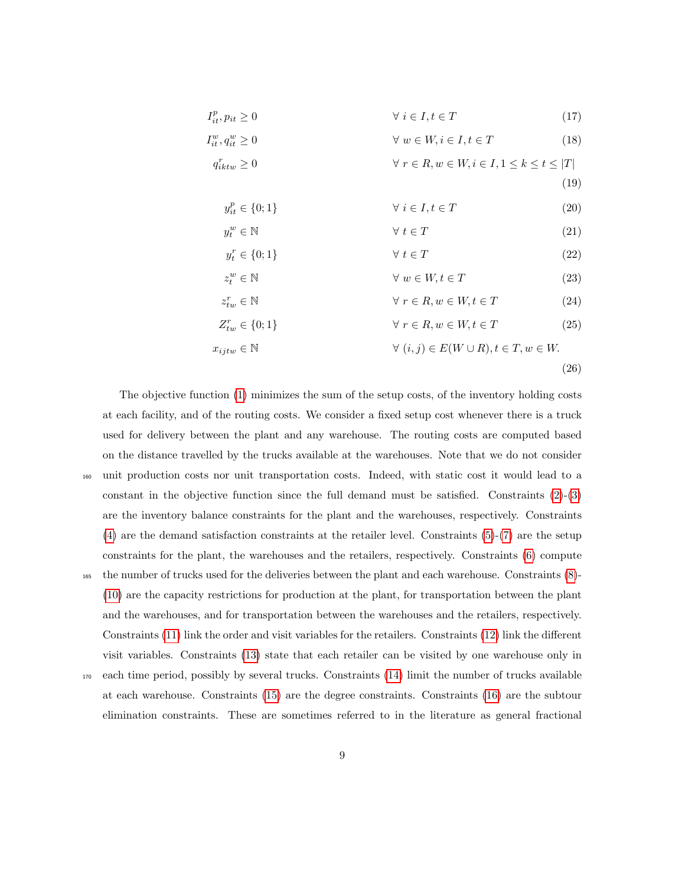$$
I_{it}^p, p_{it} \ge 0 \qquad \qquad \forall \ i \in I, t \in T \tag{17}
$$

$$
I_{it}^w, q_{it}^w \ge 0 \qquad \qquad \forall \ w \in W, i \in I, t \in T \tag{18}
$$

$$
q_{iktw}^r \ge 0 \qquad \qquad \forall \ r \in R, w \in W, i \in I, 1 \le k \le t \le |T|
$$

<span id="page-8-0"></span>
$$
(19)
$$

$$
y_{it}^p \in \{0, 1\} \qquad \forall \ i \in I, t \in T \tag{20}
$$

$$
y_t^w \in \mathbb{N} \qquad \qquad \forall \ t \in T \tag{21}
$$

$$
y_t^r \in \{0; 1\} \qquad \forall \ t \in T \tag{22}
$$

$$
z_t^w \in \mathbb{N} \qquad \forall \ w \in W, t \in T \tag{23}
$$

$$
\begin{aligned}\n w & \in \mathbb{N} \\
t & \in \mathbb{N}\n \end{aligned}\n \qquad \qquad \forall \ w \in W, t \in T\n \tag{23}
$$

$$
z_{tw}^r \in \mathbb{N} \qquad \forall r \in R, w \in W, t \in T \qquad (24)
$$

$$
Z_{tw}^r \in \{0; 1\} \qquad \forall r \in R, w \in W, t \in T \qquad (25)
$$

$$
x_{ijtw} \in \mathbb{N} \qquad \qquad \forall (i,j) \in E(W \cup R), t \in T, w \in W.
$$

<span id="page-8-1"></span>(26)

The objective function [\(1\)](#page-7-0) minimizes the sum of the setup costs, of the inventory holding costs at each facility, and of the routing costs. We consider a fixed setup cost whenever there is a truck used for delivery between the plant and any warehouse. The routing costs are computed based on the distance travelled by the trucks available at the warehouses. Note that we do not consider <sup>160</sup> unit production costs nor unit transportation costs. Indeed, with static cost it would lead to a constant in the objective function since the full demand must be satisfied. Constraints  $(2)-(3)$  $(2)-(3)$  $(2)-(3)$ are the inventory balance constraints for the plant and the warehouses, respectively. Constraints [\(4\)](#page-7-3) are the demand satisfaction constraints at the retailer level. Constraints [\(5\)](#page-7-4)-[\(7\)](#page-7-5) are the setup constraints for the plant, the warehouses and the retailers, respectively. Constraints [\(6\)](#page-7-6) compute <sup>165</sup> the number of trucks used for the deliveries between the plant and each warehouse. Constraints [\(8\)](#page-7-7)- [\(10\)](#page-7-8) are the capacity restrictions for production at the plant, for transportation between the plant and the warehouses, and for transportation between the warehouses and the retailers, respectively. Constraints [\(11\)](#page-7-9) link the order and visit variables for the retailers. Constraints [\(12\)](#page-7-10) link the different visit variables. Constraints [\(13\)](#page-7-11) state that each retailer can be visited by one warehouse only in <sup>170</sup> each time period, possibly by several trucks. Constraints [\(14\)](#page-7-12) limit the number of trucks available at each warehouse. Constraints [\(15\)](#page-7-13) are the degree constraints. Constraints [\(16\)](#page-7-14) are the subtour

elimination constraints. These are sometimes referred to in the literature as general fractional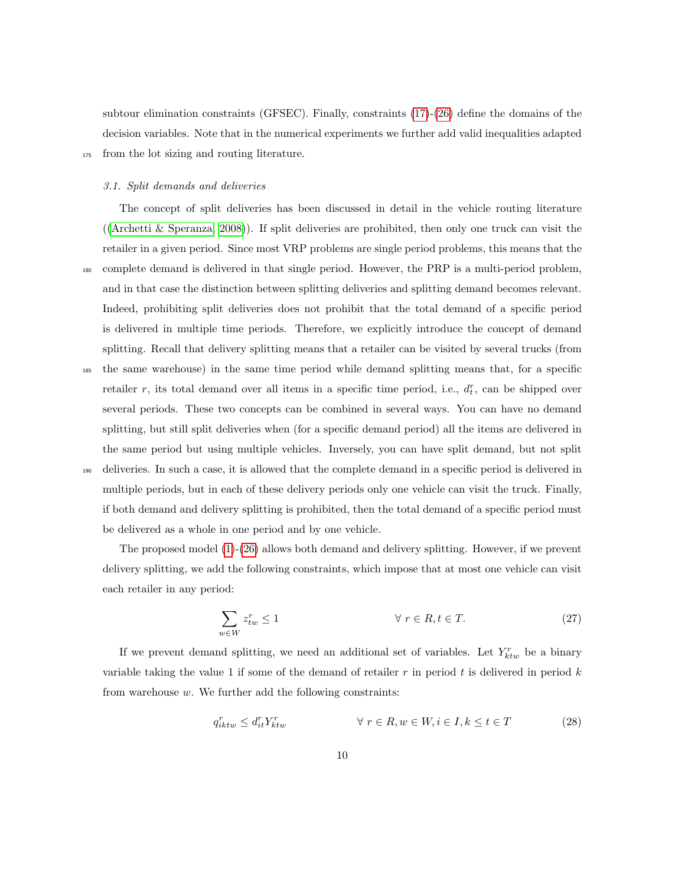subtour elimination constraints (GFSEC). Finally, constraints [\(17\)](#page-8-0)-[\(26\)](#page-8-1) define the domains of the decision variables. Note that in the numerical experiments we further add valid inequalities adapted <sup>175</sup> from the lot sizing and routing literature.

## 3.1. Split demands and deliveries

The concept of split deliveries has been discussed in detail in the vehicle routing literature ([\(Archetti & Speranza, 2008\)](#page-35-9)). If split deliveries are prohibited, then only one truck can visit the retailer in a given period. Since most VRP problems are single period problems, this means that the <sup>180</sup> complete demand is delivered in that single period. However, the PRP is a multi-period problem, and in that case the distinction between splitting deliveries and splitting demand becomes relevant. Indeed, prohibiting split deliveries does not prohibit that the total demand of a specific period is delivered in multiple time periods. Therefore, we explicitly introduce the concept of demand splitting. Recall that delivery splitting means that a retailer can be visited by several trucks (from <sup>185</sup> the same warehouse) in the same time period while demand splitting means that, for a specific retailer r, its total demand over all items in a specific time period, i.e.,  $d_t^r$ , can be shipped over several periods. These two concepts can be combined in several ways. You can have no demand

splitting, but still split deliveries when (for a specific demand period) all the items are delivered in the same period but using multiple vehicles. Inversely, you can have split demand, but not split <sup>190</sup> deliveries. In such a case, it is allowed that the complete demand in a specific period is delivered in multiple periods, but in each of these delivery periods only one vehicle can visit the truck. Finally, if both demand and delivery splitting is prohibited, then the total demand of a specific period must be delivered as a whole in one period and by one vehicle.

The proposed model [\(1\)](#page-7-0)-[\(26\)](#page-8-1) allows both demand and delivery splitting. However, if we prevent delivery splitting, we add the following constraints, which impose that at most one vehicle can visit each retailer in any period:

<span id="page-9-0"></span>
$$
\sum_{w \in W} z_{tw}^r \le 1 \qquad \forall \ r \in R, t \in T. \tag{27}
$$

If we prevent demand splitting, we need an additional set of variables. Let  $Y_{ktw}^r$  be a binary variable taking the value 1 if some of the demand of retailer  $r$  in period  $t$  is delivered in period  $k$ from warehouse  $w$ . We further add the following constraints:

<span id="page-9-1"></span>
$$
q_{iktw}^r \le d_{it}^r Y_{ktw}^r \qquad \qquad \forall \ r \in R, w \in W, i \in I, k \le t \in T \tag{28}
$$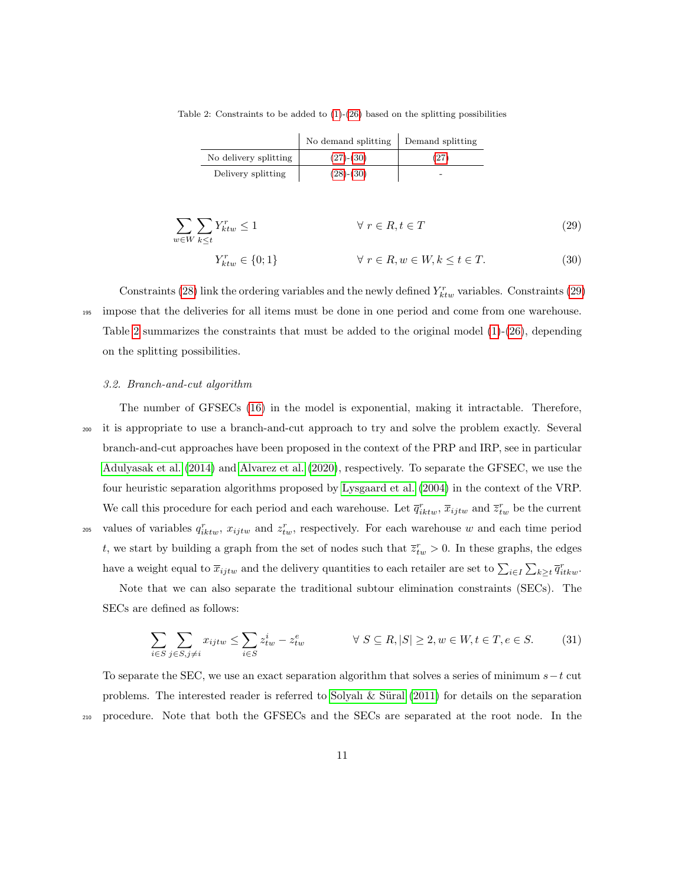<span id="page-10-2"></span>Table 2: Constraints to be added to  $(1)-(26)$  $(1)-(26)$  $(1)-(26)$  based on the splitting possibilities

<span id="page-10-1"></span><span id="page-10-0"></span>

|                       | No demand splitting | Demand splitting |
|-----------------------|---------------------|------------------|
| No delivery splitting | $(27)-(30)$         | (27)             |
| Delivery splitting    | $(28)-(30)$         |                  |

$$
\sum_{w \in W} \sum_{k \le t} Y_{ktw}^r \le 1 \qquad \forall r \in R, t \in T
$$
\n
$$
Y_{ktw}^r \in \{0; 1\} \qquad \forall r \in R, w \in W, k \le t \in T.
$$
\n(29)

Constraints [\(28\)](#page-9-1) link the ordering variables and the newly defined  $Y_{ktw}^r$  variables. Constraints [\(29\)](#page-10-1) <sup>195</sup> impose that the deliveries for all items must be done in one period and come from one warehouse. Table [2](#page-10-2) summarizes the constraints that must be added to the original model  $(1)-(26)$  $(1)-(26)$  $(1)-(26)$ , depending on the splitting possibilities.

#### 3.2. Branch-and-cut algorithm

The number of GFSECs [\(16\)](#page-7-14) in the model is exponential, making it intractable. Therefore, <sup>200</sup> it is appropriate to use a branch-and-cut approach to try and solve the problem exactly. Several branch-and-cut approaches have been proposed in the context of the PRP and IRP, see in particular [Adulyasak et al.](#page-34-6) [\(2014\)](#page-34-6) and [Alvarez et al.](#page-34-5) [\(2020\)](#page-34-5), respectively. To separate the GFSEC, we use the four heuristic separation algorithms proposed by [Lysgaard et al.](#page-37-8) [\(2004\)](#page-37-8) in the context of the VRP. We call this procedure for each period and each warehouse. Let  $\bar{q}^r_{iktw}$ ,  $\bar{x}_{ijtw}$  and  $\bar{z}^r_{tw}$  be the current <sup>205</sup> values of variables  $q_{iktw}^r$ ,  $x_{ijtw}$  and  $z_{tw}^r$ , respectively. For each warehouse w and each time period t, we start by building a graph from the set of nodes such that  $\overline{z}_{tw}^r > 0$ . In these graphs, the edges have a weight equal to  $\overline{x}_{ijtw}$  and the delivery quantities to each retailer are set to  $\sum_{i\in I}\sum_{k\geq t}\overline{q}_{itkw}^r$ .

Note that we can also separate the traditional subtour elimination constraints (SECs). The SECs are defined as follows:

$$
\sum_{i \in S} \sum_{j \in S, j \neq i} x_{ijtw} \le \sum_{i \in S} z_{tw}^i - z_{tw}^e \qquad \forall S \subseteq R, |S| \ge 2, w \in W, t \in T, e \in S. \tag{31}
$$

To separate the SEC, we use an exact separation algorithm that solves a series of minimum  $s-t$  cut problems. The interested reader is referred to Solyalı  $&$  Süral [\(2011\)](#page-37-9) for details on the separation <sup>210</sup> procedure. Note that both the GFSECs and the SECs are separated at the root node. In the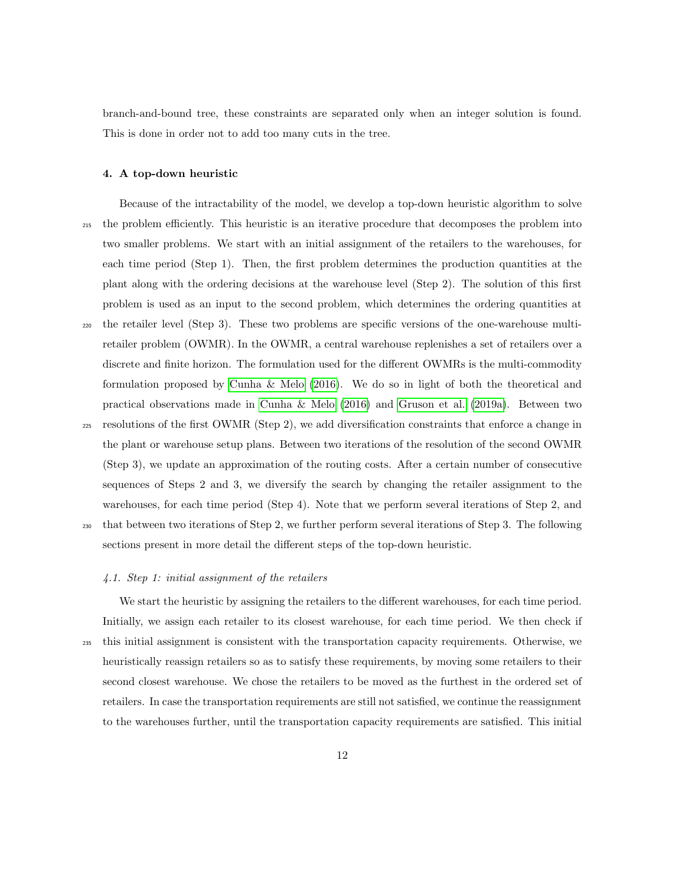branch-and-bound tree, these constraints are separated only when an integer solution is found. This is done in order not to add too many cuts in the tree.

#### <span id="page-11-0"></span>4. A top-down heuristic

- Because of the intractability of the model, we develop a top-down heuristic algorithm to solve <sup>215</sup> the problem efficiently. This heuristic is an iterative procedure that decomposes the problem into two smaller problems. We start with an initial assignment of the retailers to the warehouses, for each time period (Step 1). Then, the first problem determines the production quantities at the plant along with the ordering decisions at the warehouse level (Step 2). The solution of this first problem is used as an input to the second problem, which determines the ordering quantities at <sup>220</sup> the retailer level (Step 3). These two problems are specific versions of the one-warehouse multiretailer problem (OWMR). In the OWMR, a central warehouse replenishes a set of retailers over a discrete and finite horizon. The formulation used for the different OWMRs is the multi-commodity formulation proposed by [Cunha & Melo](#page-35-10) [\(2016\)](#page-35-10). We do so in light of both the theoretical and practical observations made in [Cunha & Melo](#page-35-10) [\(2016\)](#page-35-10) and [Gruson et al.](#page-36-1) [\(2019a\)](#page-36-1). Between two
- <sup>225</sup> resolutions of the first OWMR (Step 2), we add diversification constraints that enforce a change in the plant or warehouse setup plans. Between two iterations of the resolution of the second OWMR (Step 3), we update an approximation of the routing costs. After a certain number of consecutive sequences of Steps 2 and 3, we diversify the search by changing the retailer assignment to the warehouses, for each time period (Step 4). Note that we perform several iterations of Step 2, and <sup>230</sup> that between two iterations of Step 2, we further perform several iterations of Step 3. The following
- sections present in more detail the different steps of the top-down heuristic.

## 4.1. Step 1: initial assignment of the retailers

We start the heuristic by assigning the retailers to the different warehouses, for each time period. Initially, we assign each retailer to its closest warehouse, for each time period. We then check if <sup>235</sup> this initial assignment is consistent with the transportation capacity requirements. Otherwise, we heuristically reassign retailers so as to satisfy these requirements, by moving some retailers to their second closest warehouse. We chose the retailers to be moved as the furthest in the ordered set of retailers. In case the transportation requirements are still not satisfied, we continue the reassignment to the warehouses further, until the transportation capacity requirements are satisfied. This initial

12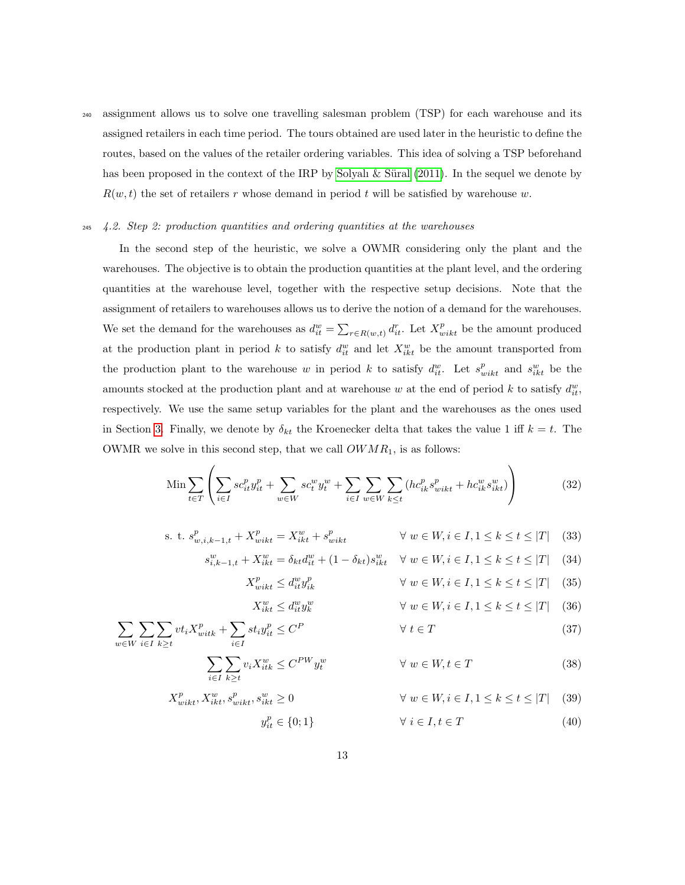<sup>240</sup> assignment allows us to solve one travelling salesman problem (TSP) for each warehouse and its assigned retailers in each time period. The tours obtained are used later in the heuristic to define the routes, based on the values of the retailer ordering variables. This idea of solving a TSP beforehand has been proposed in the context of the IRP by Solyalı  $\&$  Süral [\(2011\)](#page-37-9). In the sequel we denote by  $R(w, t)$  the set of retailers r whose demand in period t will be satisfied by warehouse w.

## <sup>245</sup> 4.2. Step 2: production quantities and ordering quantities at the warehouses

In the second step of the heuristic, we solve a OWMR considering only the plant and the warehouses. The objective is to obtain the production quantities at the plant level, and the ordering quantities at the warehouse level, together with the respective setup decisions. Note that the assignment of retailers to warehouses allows us to derive the notion of a demand for the warehouses. We set the demand for the warehouses as  $d_{it}^w = \sum_{r \in R(w,t)} d_{it}^r$ . Let  $X_{wikt}^p$  be the amount produced at the production plant in period k to satisfy  $d_{it}^w$  and let  $X_{ikt}^w$  be the amount transported from the production plant to the warehouse w in period k to satisfy  $d_{it}^w$ . Let  $s_{wikt}^p$  and  $s_{ikt}^w$  be the amounts stocked at the production plant and at warehouse w at the end of period k to satisfy  $d_{it}^w$ , respectively. We use the same setup variables for the plant and the warehouses as the ones used in Section [3.](#page-5-0) Finally, we denote by  $\delta_{kt}$  the Kroenecker delta that takes the value 1 iff  $k = t$ . The OWMR we solve in this second step, that we call  $OWMR_1$ , is as follows:

$$
\operatorname{Min} \sum_{t \in T} \left( \sum_{i \in I} s c_{it}^p y_{it}^p + \sum_{w \in W} s c_t^w y_t^w + \sum_{i \in I} \sum_{w \in W} \sum_{k \le t} (h c_{ik}^p s_{wikt}^p + h c_{ik}^w s_{ikt}^w) \right) \tag{32}
$$

s. t. 
$$
s_{w,i,k-1,t}^p + X_{wikt}^p = X_{ikt}^w + s_{wikt}^p
$$
  $\forall w \in W, i \in I, 1 \le k \le t \le |T|$  (33)

$$
s_{i,k-1,t}^w + X_{ikt}^w = \delta_{kt} d_{it}^w + (1 - \delta_{kt}) s_{ikt}^w \quad \forall \ w \in W, i \in I, 1 \le k \le t \le |T| \tag{34}
$$

<span id="page-12-0"></span>
$$
X_{wikt}^p \le d_{it}^w y_{ik}^p \qquad \qquad \forall \ w \in W, i \in I, 1 \le k \le t \le |T| \quad (35)
$$

$$
X_{ikt}^w \le d_{it}^w y_k^w \qquad \qquad \forall \ w \in W, i \in I, 1 \le k \le t \le |T| \quad (36)
$$

$$
\sum_{w \in W} \sum_{i \in I} \sum_{k \ge t} vt_i X_{with}^p + \sum_{i \in I} st_i y_{it}^p \le C^P \qquad \forall \ t \in T
$$
\n(37)

$$
\sum_{i \in I} \sum_{k \ge t} v_i X_{itk}^w \le C^{PW} y_t^w \qquad \forall w \in W, t \in T
$$
\n(38)

$$
X_{wikt}^p, X_{ikt}^w, s_{wikt}^p, s_{ikt}^w \ge 0 \qquad \qquad \forall \ w \in W, i \in I, 1 \le k \le t \le |T| \tag{39}
$$

$$
y_{it}^p \in \{0, 1\} \qquad \forall \ i \in I, t \in T \tag{40}
$$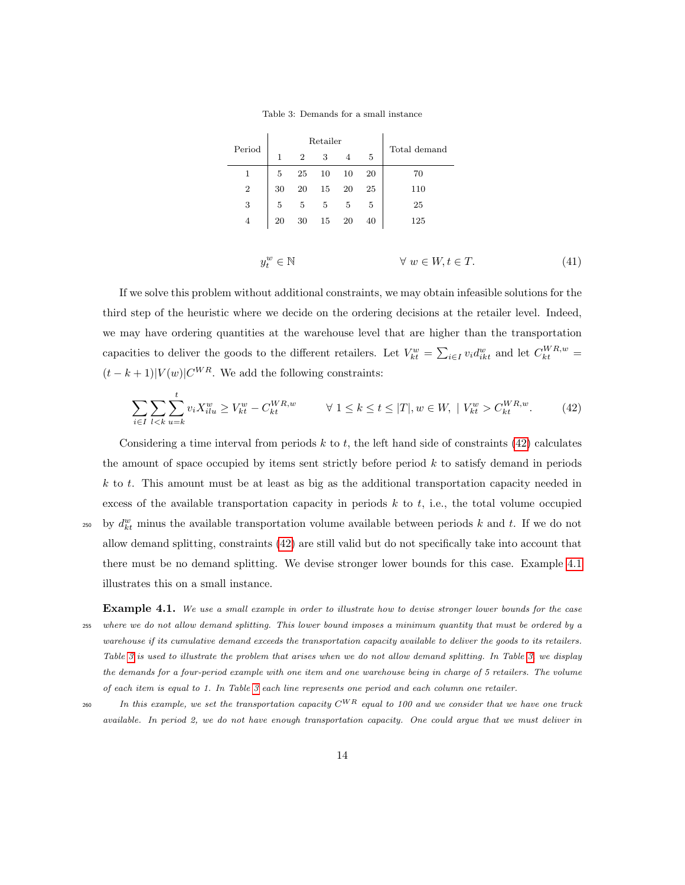Table 3: Demands for a small instance

<span id="page-13-3"></span><span id="page-13-0"></span> $\mathbf{I}$ 

<span id="page-13-2"></span>

|                  |                                                                                         |                | Retailer       |                |        |                             |  |
|------------------|-----------------------------------------------------------------------------------------|----------------|----------------|----------------|--------|-----------------------------|--|
| Period           | $\mathbf{1}$                                                                            | $\overline{2}$ | 3              | $\overline{4}$ | 5      | Total demand                |  |
| $\mathbf{1}$     | 5<br>20<br>25<br>10<br>10                                                               |                |                |                |        | 70                          |  |
| $\,2$            | 30                                                                                      | 20             |                | <b>20</b>      | $25\,$ | 110                         |  |
| $\boldsymbol{3}$ | $\begin{array}{ccc} & 15 & 20 \\ & 5 & 5 \\ & & 15 & 20 \\ \end{array}$<br>$5\,$<br>- 5 |                | $\overline{5}$ | 25             |        |                             |  |
| $\overline{4}$   | 20                                                                                      | $30\,$         |                |                | 40     | 125                         |  |
|                  |                                                                                         |                |                |                |        |                             |  |
|                  | $y_t^w \in \mathbb{N}$                                                                  |                |                |                |        | $\forall w \in W, t \in T.$ |  |

If we solve this problem without additional constraints, we may obtain infeasible solutions for the third step of the heuristic where we decide on the ordering decisions at the retailer level. Indeed, we may have ordering quantities at the warehouse level that are higher than the transportation capacities to deliver the goods to the different retailers. Let  $V_{kt}^w = \sum_{i \in I} v_i d_{ikt}^w$  and let  $C_{kt}^{WR,w} =$  $(t - k + 1)|V(w)|C^{WR}$ . We add the following constraints:

$$
\sum_{i \in I} \sum_{l < k} \sum_{u = k}^{t} v_i X_{ilu}^w \ge V_{kt}^w - C_{kt}^{WR, w} \qquad \forall \ 1 \le k \le t \le |T|, w \in W, \ |V_{kt}^w > C_{kt}^{WR, w}.\tag{42}
$$

Considering a time interval from periods  $k$  to  $t$ , the left hand side of constraints [\(42\)](#page-13-0) calculates the amount of space occupied by items sent strictly before period  $k$  to satisfy demand in periods  $k$  to t. This amount must be at least as big as the additional transportation capacity needed in excess of the available transportation capacity in periods  $k$  to  $t$ , i.e., the total volume occupied <sup>250</sup> by  $d_{kt}^w$  minus the available transportation volume available between periods k and t. If we do not allow demand splitting, constraints [\(42\)](#page-13-0) are still valid but do not specifically take into account that there must be no demand splitting. We devise stronger lower bounds for this case. Example [4.1](#page-13-1) illustrates this on a small instance.

<span id="page-13-1"></span>Example 4.1. We use a small example in order to illustrate how to devise stronger lower bounds for the case <sup>255</sup> where we do not allow demand splitting. This lower bound imposes a minimum quantity that must be ordered by a warehouse if its cumulative demand exceeds the transportation capacity available to deliver the goods to its retailers. Table [3](#page-13-2) is used to illustrate the problem that arises when we do not allow demand splitting. In Table [3,](#page-13-2) we display the demands for a four-period example with one item and one warehouse being in charge of 5 retailers. The volume of each item is equal to 1. In Table [3](#page-13-2) each line represents one period and each column one retailer.

260 In this example, we set the transportation capacity  $C^{WR}$  equal to 100 and we consider that we have one truck available. In period 2, we do not have enough transportation capacity. One could argue that we must deliver in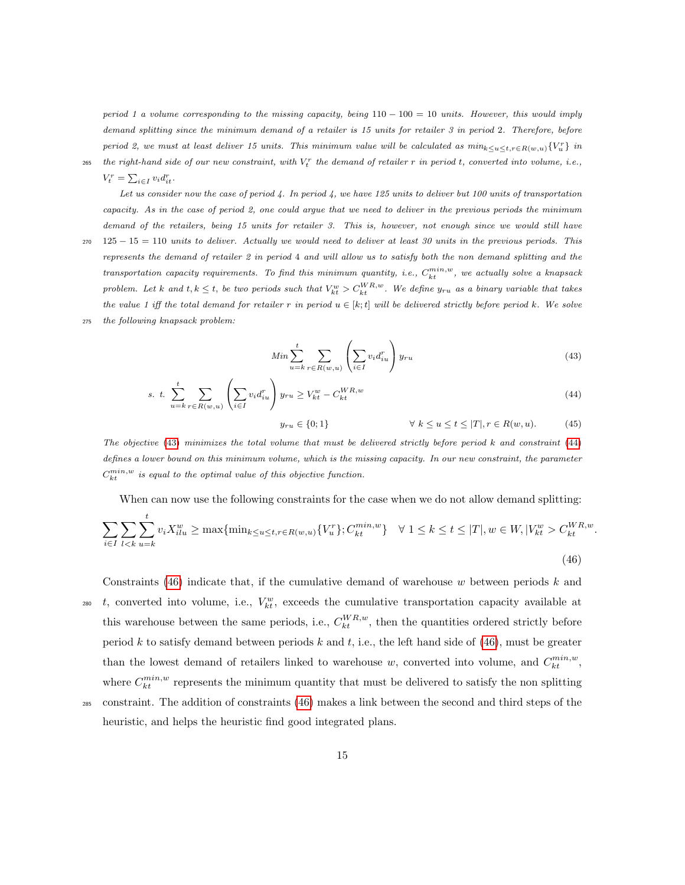period 1 a volume corresponding to the missing capacity, being  $110 - 100 = 10$  units. However, this would imply demand splitting since the minimum demand of a retailer is 15 units for retailer 3 in period 2. Therefore, before period 2, we must at least deliver 15 units. This minimum value will be calculated as  $min_{k \le u \le t, r \in R(w,u)} \{V_u^r\}$  in the right-hand side of our new constraint, with  $V_t^r$  the demand of retailer r in period t, converted into volume, i.e.,

 $V_t^r = \sum_{i \in I} v_i d_{it}^r$ .

Let us consider now the case of period 4. In period 4, we have 125 units to deliver but 100 units of transportation capacity. As in the case of period 2, one could argue that we need to deliver in the previous periods the minimum demand of the retailers, being 15 units for retailer 3. This is, however, not enough since we would still have  $270 \quad 125 - 15 = 110$  units to deliver. Actually we would need to deliver at least 30 units in the previous periods. This represents the demand of retailer 2 in period 4 and will allow us to satisfy both the non demand splitting and the transportation capacity requirements. To find this minimum quantity, i.e.,  $C_{kt}^{min,w}$ , we actually solve a knapsack problem. Let k and  $t, k \leq t$ , be two periods such that  $V_{kt}^w > C_{kt}^{WR,w}$ . We define  $y_{ru}$  as a binary variable that takes the value 1 iff the total demand for retailer r in period  $u \in [k;t]$  will be delivered strictly before period k. We solve

<span id="page-14-0"></span><sup>275</sup> the following knapsack problem:

$$
Min \sum_{u=k}^{t} \sum_{r \in R(w,u)} \left( \sum_{i \in I} v_i d_{iu}^r \right) y_{ru}
$$
\n(43)

s. t. 
$$
\sum_{u=k}^{t} \sum_{r \in R(w, u)} \left( \sum_{i \in I} v_i d_{iu}^r \right) y_{ru} \geq V_{kt}^w - C_{kt}^{WR, w}
$$
 (44)

<span id="page-14-2"></span><span id="page-14-1"></span>
$$
y_{ru} \in \{0, 1\} \qquad \qquad \forall \ k \le u \le t \le |T|, r \in R(w, u). \tag{45}
$$

The objective [\(43\)](#page-14-0) minimizes the total volume that must be delivered strictly before period k and constraint [\(44\)](#page-14-1) defines a lower bound on this minimum volume, which is the missing capacity. In our new constraint, the parameter  $C_{kt}^{min,w}$  is equal to the optimal value of this objective function.

When can now use the following constraints for the case when we do not allow demand splitting:

$$
\sum_{i \in I} \sum_{l < k} \sum_{u = k}^{t} v_i X_{ilu}^w \ge \max\{\min_{k \le u \le t, r \in R(w, u)} \{V_u^r\}; C_{kt}^{\min, w}\} \quad \forall \ 1 \le k \le t \le |T|, w \in W, |V_{kt}^w > C_{kt}^{WR, w}.\tag{46}
$$

Constraints [\(46\)](#page-14-2) indicate that, if the cumulative demand of warehouse  $w$  between periods  $k$  and 280 t, converted into volume, i.e.,  $V_{kt}^w$ , exceeds the cumulative transportation capacity available at this warehouse between the same periods, i.e.,  $C_{kt}^{WR,w}$ , then the quantities ordered strictly before period k to satisfy demand between periods k and t, i.e., the left hand side of  $(46)$ , must be greater than the lowest demand of retailers linked to warehouse w, converted into volume, and  $C_{kt}^{min,w}$ , where  $C_{kt}^{min,w}$  represents the minimum quantity that must be delivered to satisfy the non splitting

<sup>285</sup> constraint. The addition of constraints [\(46\)](#page-14-2) makes a link between the second and third steps of the heuristic, and helps the heuristic find good integrated plans.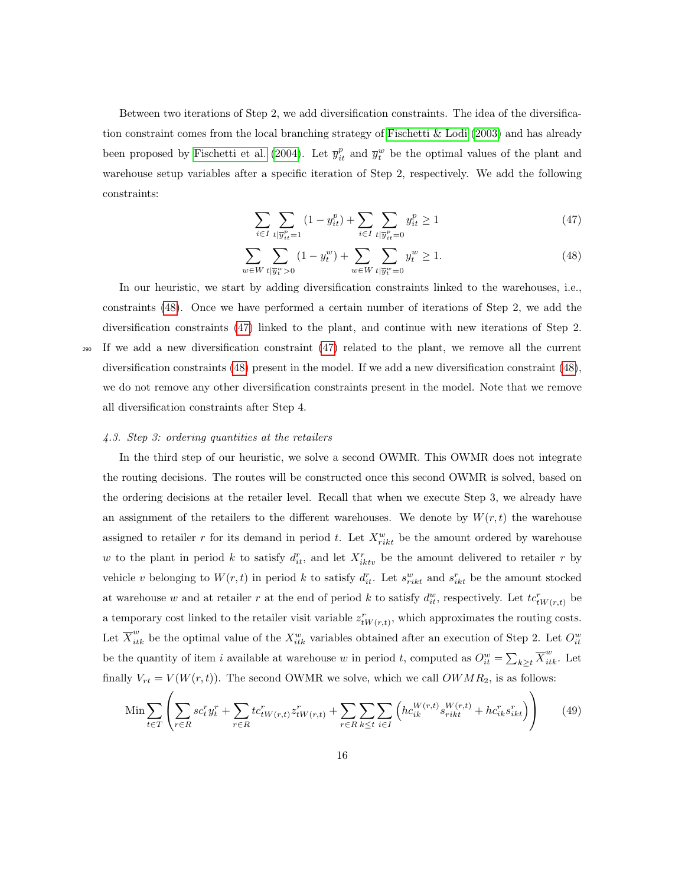Between two iterations of Step 2, we add diversification constraints. The idea of the diversification constraint comes from the local branching strategy of Fischetti  $&$  Lodi [\(2003\)](#page-36-8) and has already been proposed by [Fischetti et al.](#page-36-9) [\(2004\)](#page-36-9). Let  $\bar{y}_{it}^p$  and  $\bar{y}_{t}^w$  be the optimal values of the plant and warehouse setup variables after a specific iteration of Step 2, respectively. We add the following constraints:

<span id="page-15-1"></span><span id="page-15-0"></span>
$$
\sum_{i \in I} \sum_{t | \overline{y}_{it}^p = 1} (1 - y_{it}^p) + \sum_{i \in I} \sum_{t | \overline{y}_{it}^p = 0} y_{it}^p \ge 1
$$
\n(47)

$$
\sum_{w \in W} \sum_{t | \overline{y}_t^w > 0} (1 - y_t^w) + \sum_{w \in W} \sum_{t | \overline{y}_t^w = 0} y_t^w \ge 1.
$$
\n(48)

In our heuristic, we start by adding diversification constraints linked to the warehouses, i.e., constraints [\(48\)](#page-15-0). Once we have performed a certain number of iterations of Step 2, we add the diversification constraints [\(47\)](#page-15-1) linked to the plant, and continue with new iterations of Step 2.

<sup>290</sup> If we add a new diversification constraint [\(47\)](#page-15-1) related to the plant, we remove all the current diversification constraints [\(48\)](#page-15-0) present in the model. If we add a new diversification constraint [\(48\)](#page-15-0), we do not remove any other diversification constraints present in the model. Note that we remove all diversification constraints after Step 4.

## <span id="page-15-2"></span>4.3. Step 3: ordering quantities at the retailers

In the third step of our heuristic, we solve a second OWMR. This OWMR does not integrate the routing decisions. The routes will be constructed once this second OWMR is solved, based on the ordering decisions at the retailer level. Recall that when we execute Step 3, we already have an assignment of the retailers to the different warehouses. We denote by  $W(r, t)$  the warehouse assigned to retailer r for its demand in period t. Let  $X_{rikt}^w$  be the amount ordered by warehouse w to the plant in period k to satisfy  $d_{it}^r$ , and let  $X_{iktv}^r$  be the amount delivered to retailer r by vehicle v belonging to  $W(r,t)$  in period k to satisfy  $d_{it}^r$ . Let  $s_{rikt}^w$  and  $s_{ikt}^r$  be the amount stocked at warehouse w and at retailer r at the end of period k to satisfy  $d_{it}^w$ , respectively. Let  $tc_{tW(r,t)}^r$  be a temporary cost linked to the retailer visit variable  $z_{tW(r,t)}^r$ , which approximates the routing costs. Let  $\overline{X}_{itk}^w$  be the optimal value of the  $X_{itk}^w$  variables obtained after an execution of Step 2. Let  $O_{it}^w$ be the quantity of item i available at warehouse w in period t, computed as  $O_{it}^w = \sum_{k \geq t} \overline{X}_{itk}^w$ . Let finally  $V_{rt} = V(W(r, t))$ . The second OWMR we solve, which we call  $OWMR_2$ , is as follows:

$$
\min \sum_{t \in T} \left( \sum_{r \in R} s c_t^r y_t^r + \sum_{r \in R} t c_{tW(r,t)}^r z_{tW(r,t)}^r + \sum_{r \in R} \sum_{k \le t} \sum_{i \in I} \left( h c_{ik}^{W(r,t)} s_{rikt}^{W(r,t)} + h c_{ik}^r s_{ikt}^r \right) \right) \tag{49}
$$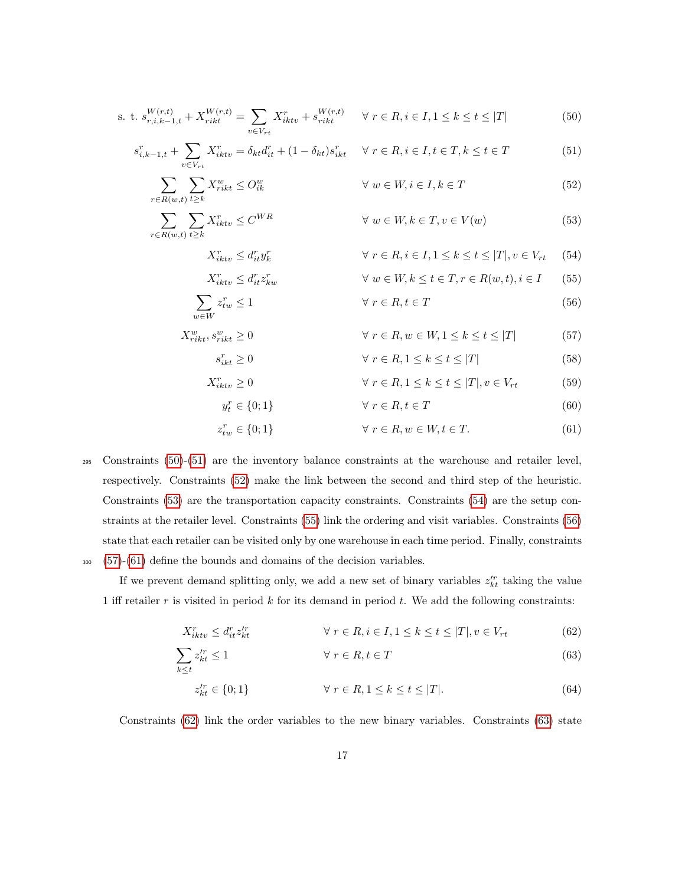s. t. 
$$
s_{r,i,k-1,t}^{W(r,t)} + X_{rikt}^{W(r,t)} = \sum_{v \in V_{rt}} X_{iktv}^r + s_{rikt}^{W(r,t)} \quad \forall r \in R, i \in I, 1 \le k \le t \le |T|
$$
 (50)

$$
s_{i,k-1,t}^r + \sum_{v \in V_{rt}} X_{iktv}^r = \delta_{kt} d_{it}^r + (1 - \delta_{kt}) s_{ikt}^r \quad \forall \ r \in R, i \in I, t \in T, k \le t \in T
$$
 (51)

$$
\sum_{r \in R(w,t)} \sum_{t \ge k} X_{rikt}^w \le O_{ik}^w \qquad \forall w \in W, i \in I, k \in T
$$
\n
$$
(52)
$$

$$
\sum_{r \in R(w,t)} \sum_{t \ge k} X_{iktv}^r \le C^{WR} \qquad \forall w \in W, k \in T, v \in V(w)
$$
\n(53)

<span id="page-16-3"></span><span id="page-16-2"></span><span id="page-16-1"></span><span id="page-16-0"></span>
$$
X_{iktv}^r \le d_{it}^r y_k^r \qquad \qquad \forall \ r \in R, i \in I, 1 \le k \le t \le |T|, v \in V_{rt} \quad (54)
$$

<span id="page-16-4"></span>
$$
X_{iktv}^r \le d_{it}^r z_{kw}^r \qquad \qquad \forall \ w \in W, k \le t \in T, r \in R(w, t), i \in I \qquad (55)
$$

$$
\sum_{w \in W} z_{tw}^r \le 1 \qquad \forall \ r \in R, t \in T \tag{56}
$$

$$
X_{rikt}^w, s_{rikt}^w \ge 0 \qquad \qquad \forall \ r \in R, w \in W, 1 \le k \le t \le |T| \tag{57}
$$

<span id="page-16-8"></span><span id="page-16-7"></span><span id="page-16-6"></span><span id="page-16-5"></span>
$$
r_{ikt} \ge 0 \qquad \qquad \forall \ r \in R, 1 \le k \le t \le |T| \tag{58}
$$

$$
X_{iktv}^r \ge 0 \qquad \qquad \forall \ r \in R, 1 \le k \le t \le |T|, v \in V_{rt} \qquad (59)
$$

$$
y_t^r \in \{0; 1\} \qquad \forall \ r \in R, t \in T \tag{60}
$$

$$
z_{tw}^r \in \{0; 1\} \qquad \forall \ r \in R, w \in W, t \in T. \tag{61}
$$

<sup>295</sup> Constraints [\(50\)](#page-16-0)-[\(51\)](#page-16-1) are the inventory balance constraints at the warehouse and retailer level, respectively. Constraints [\(52\)](#page-16-2) make the link between the second and third step of the heuristic. Constraints [\(53\)](#page-16-3) are the transportation capacity constraints. Constraints [\(54\)](#page-16-4) are the setup constraints at the retailer level. Constraints [\(55\)](#page-16-5) link the ordering and visit variables. Constraints [\(56\)](#page-16-6) state that each retailer can be visited only by one warehouse in each time period. Finally, constraints <sup>300</sup> [\(57\)](#page-16-7)-[\(61\)](#page-16-8) define the bounds and domains of the decision variables.

 $s_i^r$ 

If we prevent demand splitting only, we add a new set of binary variables  $z_{kt}^{\prime r}$  taking the value 1 iff retailer  $r$  is visited in period  $k$  for its demand in period  $t$ . We add the following constraints:

$$
X_{iktv}^r \le d_{it}^r z_{kt}^{r} \qquad \qquad \forall \ r \in R, i \in I, 1 \le k \le t \le |T|, v \in V_{rt} \qquad (62)
$$

$$
\sum_{k \le t} z_{kt}^{r} \le 1 \qquad \forall \ r \in R, t \in T \tag{63}
$$

<span id="page-16-10"></span><span id="page-16-9"></span>
$$
z_{kt}^{\prime r} \in \{0; 1\} \qquad \qquad \forall \ r \in R, 1 \le k \le t \le |T|.
$$
\n
$$
(64)
$$

Constraints  $(62)$  link the order variables to the new binary variables. Constraints  $(63)$  state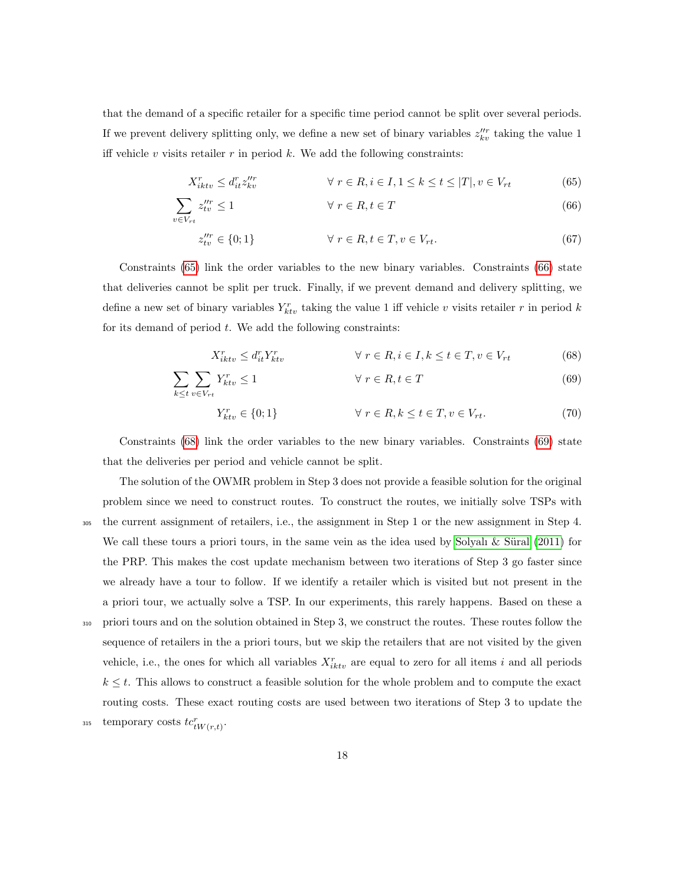that the demand of a specific retailer for a specific time period cannot be split over several periods. If we prevent delivery splitting only, we define a new set of binary variables  $z_{kv}^{\prime\prime r}$  taking the value 1 iff vehicle  $v$  visits retailer  $r$  in period  $k$ . We add the following constraints:

$$
X_{iktv}^r \le d_{it}^r z_{kv}^{\prime\prime r} \qquad \forall \ r \in R, i \in I, 1 \le k \le t \le |T|, v \in V_{rt} \tag{65}
$$

$$
\sum_{v \in V_{rt}} z_{tv}^{\prime\prime r} \le 1 \qquad \forall \ r \in R, t \in T \tag{66}
$$

<span id="page-17-1"></span><span id="page-17-0"></span>
$$
z_{tv}^{\prime\prime r} \in \{0; 1\} \qquad \qquad \forall \ r \in R, t \in T, v \in V_{rt}.\tag{67}
$$

Constraints [\(65\)](#page-17-0) link the order variables to the new binary variables. Constraints [\(66\)](#page-17-1) state that deliveries cannot be split per truck. Finally, if we prevent demand and delivery splitting, we define a new set of binary variables  $Y_{ktv}^r$  taking the value 1 iff vehicle v visits retailer r in period k for its demand of period  $t$ . We add the following constraints:

$$
X_{iktv}^r \le d_{it}^r Y_{ktv}^r \qquad \qquad \forall \ r \in R, i \in I, k \le t \in T, v \in V_{rt} \qquad (68)
$$

$$
\sum_{k \le t} \sum_{v \in V_{rt}} Y_{ktv}^r \le 1 \qquad \forall \ r \in R, t \in T \tag{69}
$$

<span id="page-17-3"></span><span id="page-17-2"></span>
$$
Y_{ktv}^r \in \{0; 1\} \qquad \qquad \forall \ r \in R, k \le t \in T, v \in V_{rt}.\tag{70}
$$

Constraints [\(68\)](#page-17-2) link the order variables to the new binary variables. Constraints [\(69\)](#page-17-3) state that the deliveries per period and vehicle cannot be split.

The solution of the OWMR problem in Step 3 does not provide a feasible solution for the original problem since we need to construct routes. To construct the routes, we initially solve TSPs with <sup>305</sup> the current assignment of retailers, i.e., the assignment in Step 1 or the new assignment in Step 4. We call these tours a priori tours, in the same vein as the idea used by Solyalı  $\&$  Süral [\(2011\)](#page-37-9) for the PRP. This makes the cost update mechanism between two iterations of Step 3 go faster since we already have a tour to follow. If we identify a retailer which is visited but not present in the a priori tour, we actually solve a TSP. In our experiments, this rarely happens. Based on these a <sup>310</sup> priori tours and on the solution obtained in Step 3, we construct the routes. These routes follow the sequence of retailers in the a priori tours, but we skip the retailers that are not visited by the given vehicle, i.e., the ones for which all variables  $X_{iktv}^r$  are equal to zero for all items i and all periods  $k \leq t$ . This allows to construct a feasible solution for the whole problem and to compute the exact routing costs. These exact routing costs are used between two iterations of Step 3 to update the 315 temporary costs  $tc^r_{tW(r,t)}$ .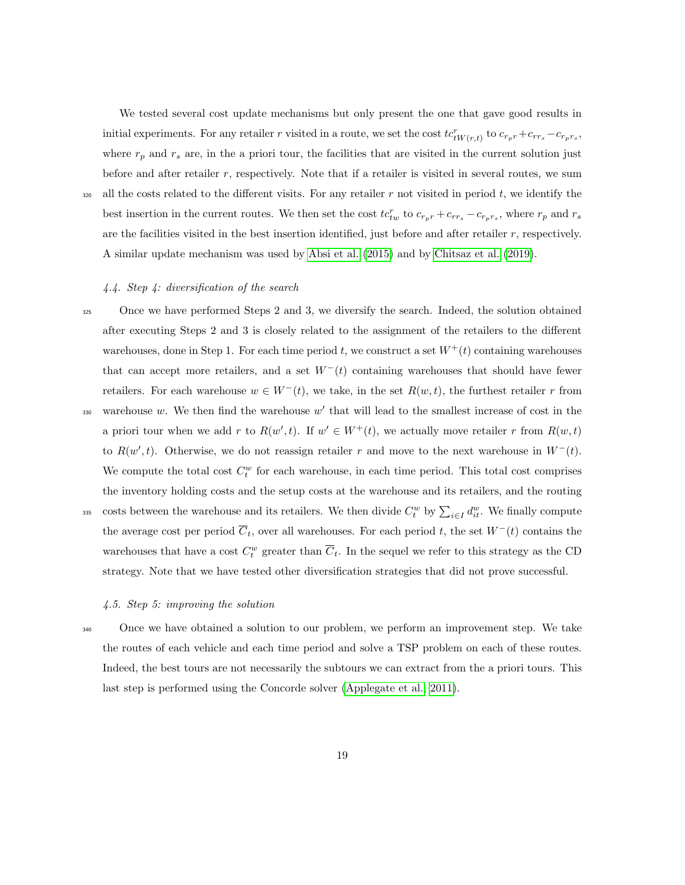We tested several cost update mechanisms but only present the one that gave good results in initial experiments. For any retailer r visited in a route, we set the cost  $tc_{tW(r,t)}^r$  to  $c_{r_pr} + c_{rr_s} - c_{r_pr_s}$ , where  $r_p$  and  $r_s$  are, in the a priori tour, the facilities that are visited in the current solution just before and after retailer r, respectively. Note that if a retailer is visited in several routes, we sum 320 all the costs related to the different visits. For any retailer r not visited in period t, we identify the best insertion in the current routes. We then set the cost  $tc_{tw}^r$  to  $c_{r_pr} + c_{rr_s} - c_{r_pr_s}$ , where  $r_p$  and  $r_s$ 

are the facilities visited in the best insertion identified, just before and after retailer  $r$ , respectively.

A similar update mechanism was used by [Absi et al.](#page-34-4) [\(2015\)](#page-34-4) and by [Chitsaz et al.](#page-35-7) [\(2019\)](#page-35-7).

# 4.4. Step 4: diversification of the search

<sup>325</sup> Once we have performed Steps 2 and 3, we diversify the search. Indeed, the solution obtained after executing Steps 2 and 3 is closely related to the assignment of the retailers to the different warehouses, done in Step 1. For each time period t, we construct a set  $W^+(t)$  containing warehouses that can accept more retailers, and a set  $W^-(t)$  containing warehouses that should have fewer retailers. For each warehouse  $w \in W^-(t)$ , we take, in the set  $R(w,t)$ , the furthest retailer r from 330 warehouse  $w$ . We then find the warehouse  $w'$  that will lead to the smallest increase of cost in the a priori tour when we add r to  $R(w', t)$ . If  $w' \in W^+(t)$ , we actually move retailer r from  $R(w, t)$ to  $R(w', t)$ . Otherwise, we do not reassign retailer r and move to the next warehouse in  $W^-(t)$ . We compute the total cost  $C_t^w$  for each warehouse, in each time period. This total cost comprises the inventory holding costs and the setup costs at the warehouse and its retailers, and the routing the wave and its retailers. We then divide  $C_t^w$  by  $\sum_{i\in I} d_{it}^w$ . We finally compute the average cost per period  $\overline{C}_t$ , over all warehouses. For each period t, the set  $W^-(t)$  contains the warehouses that have a cost  $C_t^w$  greater than  $\overline{C}_t$ . In the sequel we refer to this strategy as the CD strategy. Note that we have tested other diversification strategies that did not prove successful.

#### 4.5. Step 5: improving the solution

<sup>340</sup> Once we have obtained a solution to our problem, we perform an improvement step. We take the routes of each vehicle and each time period and solve a TSP problem on each of these routes. Indeed, the best tours are not necessarily the subtours we can extract from the a priori tours. This last step is performed using the Concorde solver [\(Applegate et al., 2011\)](#page-35-11).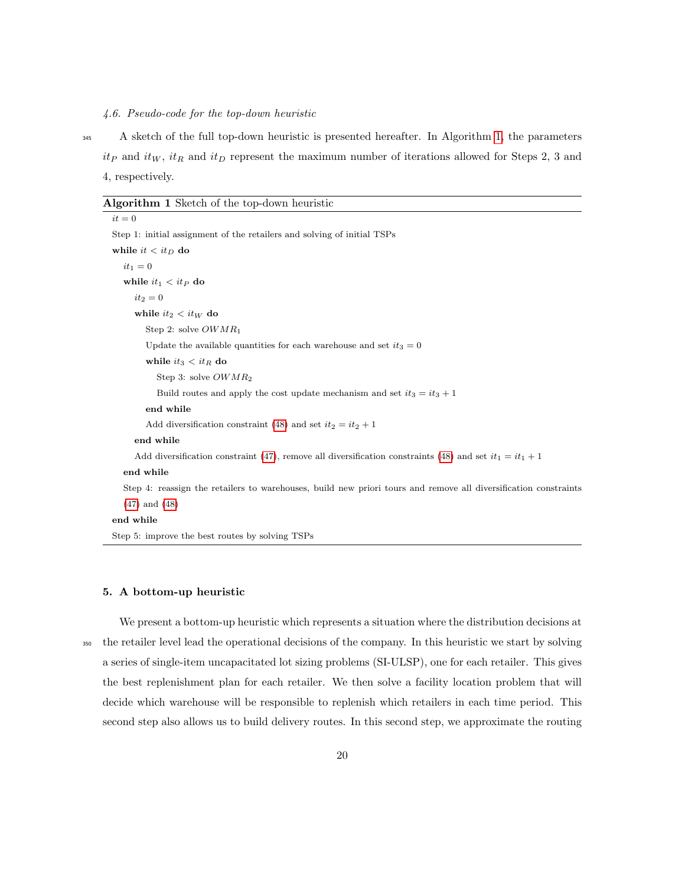#### 4.6. Pseudo-code for the top-down heuristic

<sup>345</sup> A sketch of the full top-down heuristic is presented hereafter. In Algorithm [1,](#page-19-1) the parameters  $it_P$  and  $it_W$ ,  $it_R$  and  $it_D$  represent the maximum number of iterations allowed for Steps 2, 3 and 4, respectively.

#### <span id="page-19-1"></span>Algorithm 1 Sketch of the top-down heuristic

 $it = 0$ Step 1: initial assignment of the retailers and solving of initial TSPs while  $it < it_D$  do  $it_1 = 0$ while  $it_1 < it_P$  do  $it_2 = 0$ while  $it_2 < it_W$  do Step 2: solve OWMR<sup>1</sup> Update the available quantities for each warehouse and set  $it_3 = 0$ while  $it_3 < it_R$  do Step 3: solve OWMR<sup>2</sup> Build routes and apply the cost update mechanism and set  $it_3 = it_3 + 1$ end while Add diversification constraint [\(48\)](#page-15-0) and set  $it_2 = it_2 + 1$ end while Add diversification constraint [\(47\)](#page-15-1), remove all diversification constraints [\(48\)](#page-15-0) and set  $it_1 = it_1 + 1$ end while Step 4: reassign the retailers to warehouses, build new priori tours and remove all diversification constraints [\(47\)](#page-15-1) and [\(48\)](#page-15-0) end while Step 5: improve the best routes by solving TSPs

#### <span id="page-19-0"></span>5. A bottom-up heuristic

We present a bottom-up heuristic which represents a situation where the distribution decisions at <sup>350</sup> the retailer level lead the operational decisions of the company. In this heuristic we start by solving a series of single-item uncapacitated lot sizing problems (SI-ULSP), one for each retailer. This gives the best replenishment plan for each retailer. We then solve a facility location problem that will decide which warehouse will be responsible to replenish which retailers in each time period. This second step also allows us to build delivery routes. In this second step, we approximate the routing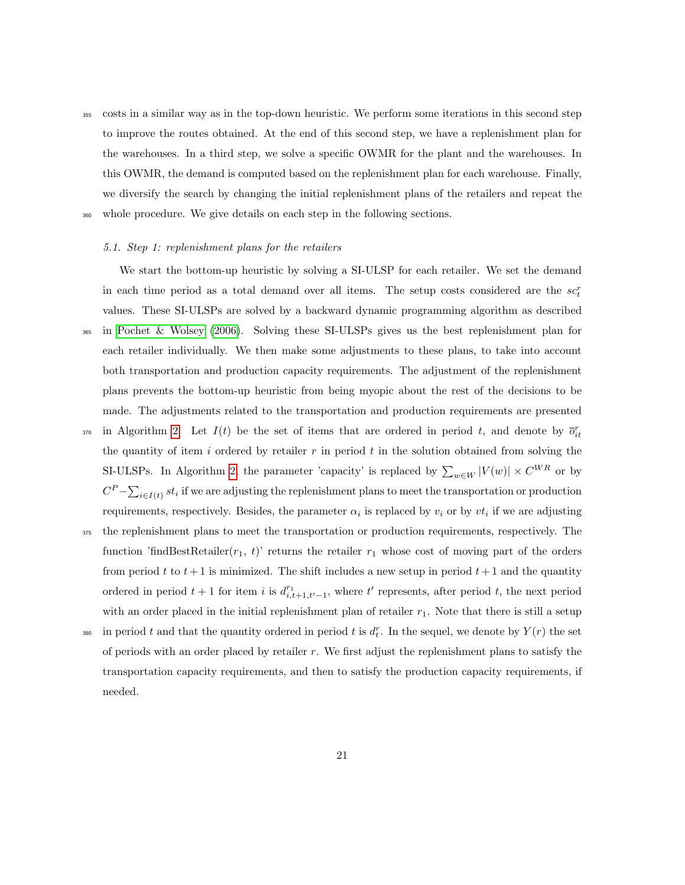<sup>355</sup> costs in a similar way as in the top-down heuristic. We perform some iterations in this second step to improve the routes obtained. At the end of this second step, we have a replenishment plan for the warehouses. In a third step, we solve a specific OWMR for the plant and the warehouses. In this OWMR, the demand is computed based on the replenishment plan for each warehouse. Finally, we diversify the search by changing the initial replenishment plans of the retailers and repeat the <sup>360</sup> whole procedure. We give details on each step in the following sections.

#### 5.1. Step 1: replenishment plans for the retailers

We start the bottom-up heuristic by solving a SI-ULSP for each retailer. We set the demand in each time period as a total demand over all items. The setup costs considered are the  $sc<sub>t</sub><sup>t</sup>$ values. These SI-ULSPs are solved by a backward dynamic programming algorithm as described <sup>365</sup> in [Pochet & Wolsey](#page-37-10) [\(2006\)](#page-37-10). Solving these SI-ULSPs gives us the best replenishment plan for each retailer individually. We then make some adjustments to these plans, to take into account both transportation and production capacity requirements. The adjustment of the replenishment plans prevents the bottom-up heuristic from being myopic about the rest of the decisions to be made. The adjustments related to the transportation and production requirements are presented <sup>370</sup> in Algorithm [2.](#page-21-0) Let  $I(t)$  be the set of items that are ordered in period t, and denote by  $\overline{o}_{it}^r$ the quantity of item  $i$  ordered by retailer  $r$  in period  $t$  in the solution obtained from solving the SI-ULSPs. In Algorithm [2,](#page-21-0) the parameter 'capacity' is replaced by  $\sum_{w \in W} |V(w)| \times C^{WR}$  or by  $C^{P} - \sum_{i \in I(t)} st_i$  if we are adjusting the replenishment plans to meet the transportation or production requirements, respectively. Besides, the parameter  $\alpha_i$  is replaced by  $v_i$  or by  $vt_i$  if we are adjusting <sup>375</sup> the replenishment plans to meet the transportation or production requirements, respectively. The function 'findBestRetailer( $r_1$ , t)' returns the retailer  $r_1$  whose cost of moving part of the orders from period t to  $t + 1$  is minimized. The shift includes a new setup in period  $t + 1$  and the quantity ordered in period  $t + 1$  for item i is  $d_{i,t+1,t'-1}^{r_1}$ , where t' represents, after period t, the next period

with an order placed in the initial replenishment plan of retailer  $r_1$ . Note that there is still a setup

380 in period t and that the quantity ordered in period t is  $d_t^r$ . In the sequel, we denote by  $Y(r)$  the set of periods with an order placed by retailer r. We first adjust the replenishment plans to satisfy the transportation capacity requirements, and then to satisfy the production capacity requirements, if needed.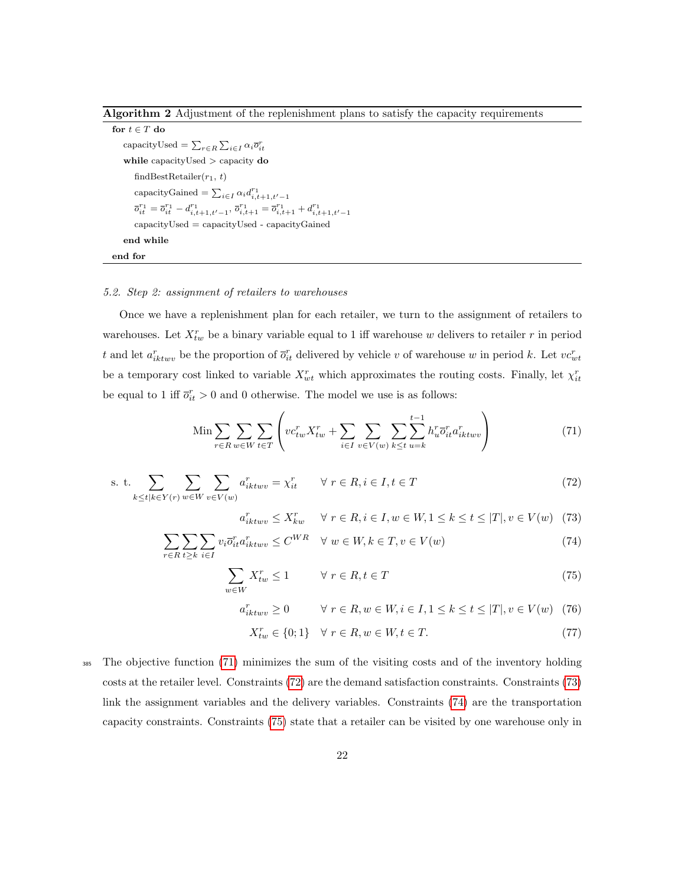<span id="page-21-0"></span>Algorithm 2 Adjustment of the replenishment plans to satisfy the capacity requirements

for  $t \in T$  do capacityUsed =  $\sum_{r \in R} \sum_{i \in I} \alpha_i \overline{o}_{it}^r$ while capacityUsed > capacity do findBestRetailer $(r_1, t)$ capacityGained =  $\sum_{i \in I} \alpha_i d_{i,t+1,t'-1}^{r_1}$  $\overline{o}_{it}^{r_1} = \overline{o}_{it}^{r_1} - d_{i,t+1,t'-1}^{r_1}, \overline{o}_{i,t+1}^{r_1} = \overline{o}_{i,t+1}^{r_1} + d_{i,t+1,t'-1}^{r_1}$ capacityUsed = capacityUsed - capacityGained end while end for

### 5.2. Step 2: assignment of retailers to warehouses

Once we have a replenishment plan for each retailer, we turn to the assignment of retailers to warehouses. Let  $X_{tw}^r$  be a binary variable equal to 1 iff warehouse w delivers to retailer r in period t and let  $a_{iktww}^r$  be the proportion of  $\overline{o}_{it}^r$  delivered by vehicle v of warehouse w in period k. Let  $vc_{wt}^r$ be a temporary cost linked to variable  $X_{wt}^r$  which approximates the routing costs. Finally, let  $\chi_{it}^r$ be equal to 1 iff  $\overline{o}_{it}^r > 0$  and 0 otherwise. The model we use is as follows:

$$
\text{Min} \sum_{r \in R} \sum_{w \in W} \sum_{t \in T} \left( v c_{tw}^r X_{tw}^r + \sum_{i \in I} \sum_{v \in V(w)} \sum_{k \le t} \sum_{u=k}^{t-1} h_u^r \overline{o}_{it}^r a_{iktwv}^r \right) \tag{71}
$$

s. t. 
$$
\sum_{k \le t | k \in Y(r)} \sum_{w \in W} \sum_{v \in V(w)} a_{ikt w v}^r = \chi_{it}^r \qquad \forall \ r \in R, i \in I, t \in T
$$
 (72)

<span id="page-21-5"></span><span id="page-21-4"></span><span id="page-21-3"></span><span id="page-21-2"></span><span id="page-21-1"></span>
$$
a_{iktww}^r \le X_{kw}^r \quad \forall \ r \in R, i \in I, w \in W, 1 \le k \le t \le |T|, v \in V(w) \tag{73}
$$

$$
\sum_{r \in R} \sum_{t \ge k} \sum_{i \in I} v_i \overline{o}_{it}^r a_{iktwv}^r \le C^{WR} \quad \forall \ w \in W, k \in T, v \in V(w)
$$
\n
$$
(74)
$$

$$
\sum_{w \in W} X_{tw}^r \le 1 \qquad \forall \ r \in R, t \in T \tag{75}
$$

$$
a_{ikt w v}^r \ge 0 \qquad \forall \ r \in R, w \in W, i \in I, 1 \le k \le t \le |T|, v \in V(w) \tag{76}
$$

<span id="page-21-7"></span><span id="page-21-6"></span>
$$
X_{tw}^r \in \{0; 1\} \quad \forall \ r \in R, w \in W, t \in T. \tag{77}
$$

<sup>385</sup> The objective function [\(71\)](#page-21-1) minimizes the sum of the visiting costs and of the inventory holding costs at the retailer level. Constraints [\(72\)](#page-21-2) are the demand satisfaction constraints. Constraints [\(73\)](#page-21-3) link the assignment variables and the delivery variables. Constraints [\(74\)](#page-21-4) are the transportation capacity constraints. Constraints [\(75\)](#page-21-5) state that a retailer can be visited by one warehouse only in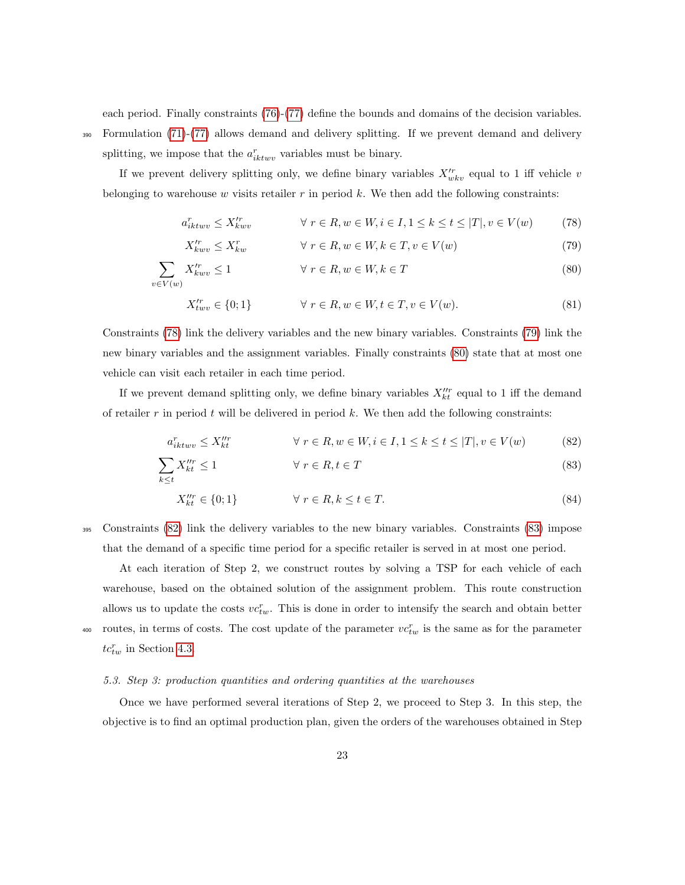each period. Finally constraints [\(76\)](#page-21-6)-[\(77\)](#page-21-7) define the bounds and domains of the decision variables.

<sup>390</sup> Formulation [\(71\)](#page-21-1)-[\(77\)](#page-21-7) allows demand and delivery splitting. If we prevent demand and delivery splitting, we impose that the  $a_{iktuv}^r$  variables must be binary.

If we prevent delivery splitting only, we define binary variables  $X_{wkv}^{\prime r}$  equal to 1 iff vehicle v belonging to warehouse  $w$  visits retailer  $r$  in period  $k$ . We then add the following constraints:

$$
a_{ikt w v}^r \le X_{k w v}^{\prime r} \qquad \qquad \forall \ r \in R, w \in W, i \in I, 1 \le k \le t \le |T|, v \in V(w) \tag{78}
$$

<span id="page-22-2"></span><span id="page-22-1"></span><span id="page-22-0"></span>
$$
X_{kww}^{r} \le X_{kw}^r \qquad \qquad \forall \ r \in R, w \in W, k \in T, v \in V(w)
$$
\n
$$
(79)
$$

$$
\sum_{v \in V(w)} X_{k w v}^{\prime r} \le 1 \qquad \forall \ r \in R, w \in W, k \in T
$$
\n(80)

$$
X_{t w v}^{\prime r} \in \{0; 1\} \qquad \forall r \in R, w \in W, t \in T, v \in V(w). \tag{81}
$$

Constraints [\(78\)](#page-22-0) link the delivery variables and the new binary variables. Constraints [\(79\)](#page-22-1) link the new binary variables and the assignment variables. Finally constraints [\(80\)](#page-22-2) state that at most one vehicle can visit each retailer in each time period.

If we prevent demand splitting only, we define binary variables  $X_{kt}^{\prime\prime r}$  equal to 1 iff the demand of retailer r in period t will be delivered in period  $k$ . We then add the following constraints:

$$
a_{ikt w v}^r \le X_{kt}^{\prime\prime r} \qquad \forall r \in R, w \in W, i \in I, 1 \le k \le t \le |T|, v \in V(w) \tag{82}
$$

$$
\sum_{k \le t} X_{kt}^{\prime \prime r} \le 1 \qquad \forall \ r \in R, t \in T \tag{83}
$$

<span id="page-22-4"></span><span id="page-22-3"></span>
$$
X_{kt}^{\prime\prime r} \in \{0; 1\} \qquad \forall \ r \in R, k \le t \in T. \tag{84}
$$

<sup>395</sup> Constraints [\(82\)](#page-22-3) link the delivery variables to the new binary variables. Constraints [\(83\)](#page-22-4) impose that the demand of a specific time period for a specific retailer is served in at most one period.

At each iteration of Step 2, we construct routes by solving a TSP for each vehicle of each warehouse, based on the obtained solution of the assignment problem. This route construction allows us to update the costs  $vc_{tw}^r$ . This is done in order to intensify the search and obtain better <sup>400</sup> routes, in terms of costs. The cost update of the parameter  $vc_{tw}^r$  is the same as for the parameter  $tc_{tw}^r$  in Section [4.3.](#page-15-2)

#### 5.3. Step 3: production quantities and ordering quantities at the warehouses

Once we have performed several iterations of Step 2, we proceed to Step 3. In this step, the objective is to find an optimal production plan, given the orders of the warehouses obtained in Step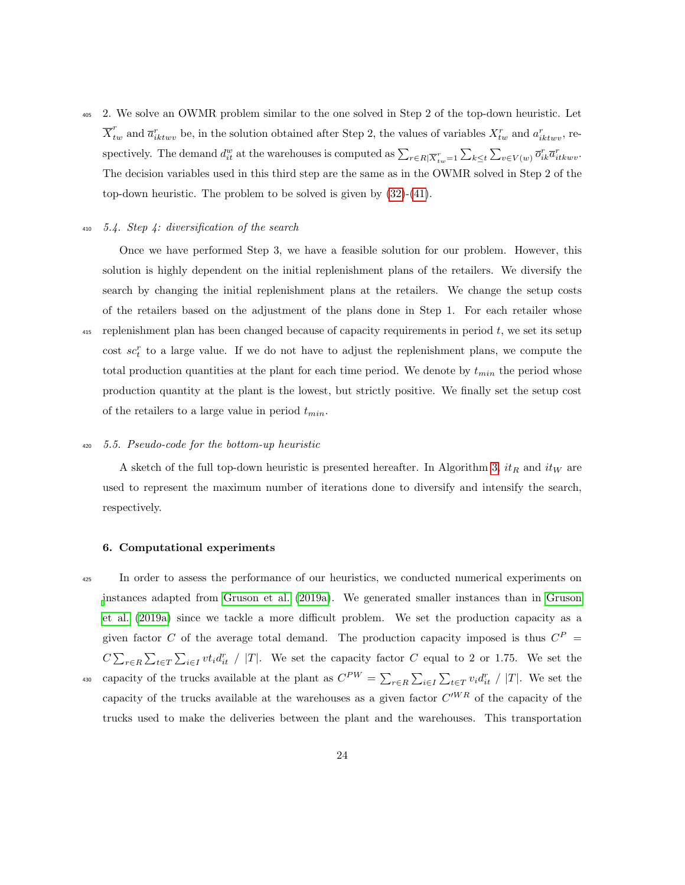2. We solve an OWMR problem similar to the one solved in Step 2 of the top-down heuristic. Let  $\overline{X}_{tw}^r$  and  $\overline{a}_{iktuv}^r$  be, in the solution obtained after Step 2, the values of variables  $X_{tw}^r$  and  $a_{iktuv}^r$ , respectively. The demand  $d_{it}^w$  at the warehouses is computed as  $\sum_{r \in R \mid \overline{X}_{tw}^r = 1} \sum_{k \le t} \sum_{v \in V(w)} \overline{o}_{ik}^r \overline{a}_{itkwv}^r$ . The decision variables used in this third step are the same as in the OWMR solved in Step 2 of the top-down heuristic. The problem to be solved is given by [\(32\)](#page-12-0)-[\(41\)](#page-13-3).

## $410$  5.4. Step 4: diversification of the search

Once we have performed Step 3, we have a feasible solution for our problem. However, this solution is highly dependent on the initial replenishment plans of the retailers. We diversify the search by changing the initial replenishment plans at the retailers. We change the setup costs of the retailers based on the adjustment of the plans done in Step 1. For each retailer whose  $415$  replenishment plan has been changed because of capacity requirements in period t, we set its setup cost  $sc<sub>t</sub><sup>r</sup>$  to a large value. If we do not have to adjust the replenishment plans, we compute the total production quantities at the plant for each time period. We denote by  $t_{min}$  the period whose production quantity at the plant is the lowest, but strictly positive. We finally set the setup cost of the retailers to a large value in period  $t_{min}$ .

## <sup>420</sup> 5.5. Pseudo-code for the bottom-up heuristic

A sketch of the full top-down heuristic is presented hereafter. In Algorithm [3,](#page-24-0)  $it_R$  and  $it_W$  are used to represent the maximum number of iterations done to diversify and intensify the search, respectively.

#### <span id="page-23-0"></span>6. Computational experiments

<sup>425</sup> In order to assess the performance of our heuristics, we conducted numerical experiments on [i](#page-36-1)nstances adapted from [Gruson et al.](#page-36-1) [\(2019a\)](#page-36-1). We generated smaller instances than in [Gruson](#page-36-1) [et al.](#page-36-1) [\(2019a\)](#page-36-1) since we tackle a more difficult problem. We set the production capacity as a given factor C of the average total demand. The production capacity imposed is thus  $C^P$  =  $C \sum_{r \in R} \sum_{t \in T} \sum_{i \in I} vt_i d_{it}^r$  / |T|. We set the capacity factor C equal to 2 or 1.75. We set the <sup>430</sup> capacity of the trucks available at the plant as  $C^{PW} = \sum_{r \in R} \sum_{i \in I} \sum_{t \in T} v_i d_{it}^r / |T|$ . We set the capacity of the trucks available at the warehouses as a given factor  $C^{WR}$  of the capacity of the trucks used to make the deliveries between the plant and the warehouses. This transportation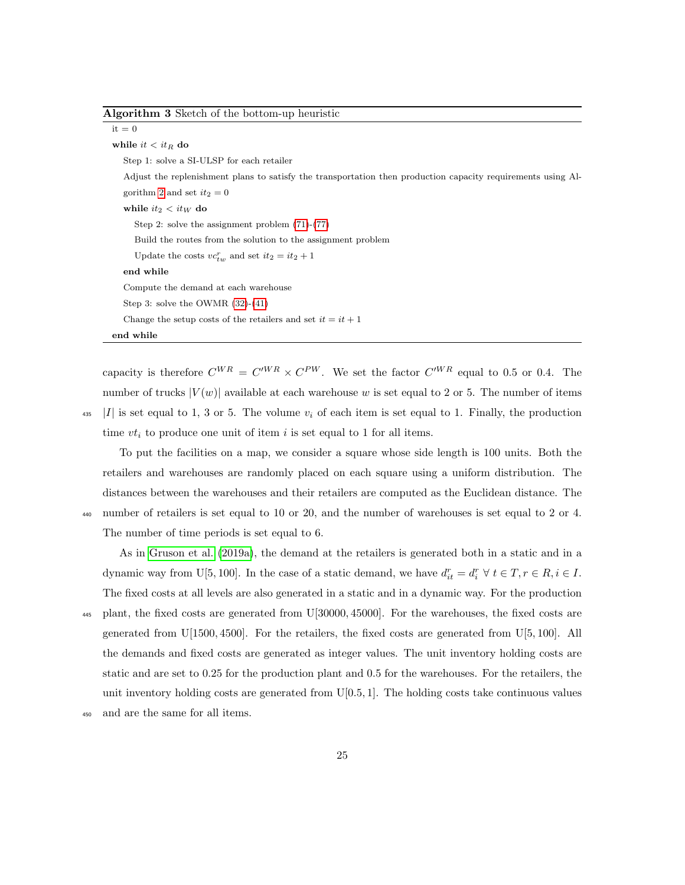<span id="page-24-0"></span>Algorithm 3 Sketch of the bottom-up heuristic

 $it = 0$ while  $it < it_R$  do Step 1: solve a SI-ULSP for each retailer Adjust the replenishment plans to satisfy the transportation then production capacity requirements using Al-gorithm [2](#page-21-0) and set  $it_2 = 0$ while  $it_2 < it_W$  do Step 2: solve the assignment problem [\(71\)](#page-21-1)-[\(77\)](#page-21-7) Build the routes from the solution to the assignment problem Update the costs  $vc_{tw}^r$  and set  $it_2 = it_2 + 1$ end while Compute the demand at each warehouse Step 3: solve the OWMR [\(32\)](#page-12-0)-[\(41\)](#page-13-3) Change the setup costs of the retailers and set  $it = it + 1$ end while

capacity is therefore  $C^{WR} = C'^{WR} \times C^{PW}$ . We set the factor  $C'^{WR}$  equal to 0.5 or 0.4. The number of trucks  $|V(w)|$  available at each warehouse w is set equal to 2 or 5. The number of items  $\begin{array}{c} |I| \text{ is set equal to } 1, 3 \text{ or } 5. \end{array}$  The volume  $v_i$  of each item is set equal to 1. Finally, the production time  $vt_i$  to produce one unit of item i is set equal to 1 for all items.

To put the facilities on a map, we consider a square whose side length is 100 units. Both the retailers and warehouses are randomly placed on each square using a uniform distribution. The distances between the warehouses and their retailers are computed as the Euclidean distance. The <sup>440</sup> number of retailers is set equal to 10 or 20, and the number of warehouses is set equal to 2 or 4. The number of time periods is set equal to 6.

As in [Gruson et al.](#page-36-1) [\(2019a\)](#page-36-1), the demand at the retailers is generated both in a static and in a dynamic way from U[5, 100]. In the case of a static demand, we have  $d_{it}^r = d_i^r \forall t \in T, r \in R, i \in I$ . The fixed costs at all levels are also generated in a static and in a dynamic way. For the production

- <sup>445</sup> plant, the fixed costs are generated from U[30000, 45000]. For the warehouses, the fixed costs are generated from  $U(1500, 4500)$ . For the retailers, the fixed costs are generated from  $U(5, 100)$ . All the demands and fixed costs are generated as integer values. The unit inventory holding costs are static and are set to 0.25 for the production plant and 0.5 for the warehouses. For the retailers, the unit inventory holding costs are generated from  $U[0.5, 1]$ . The holding costs take continuous values
- <sup>450</sup> and are the same for all items.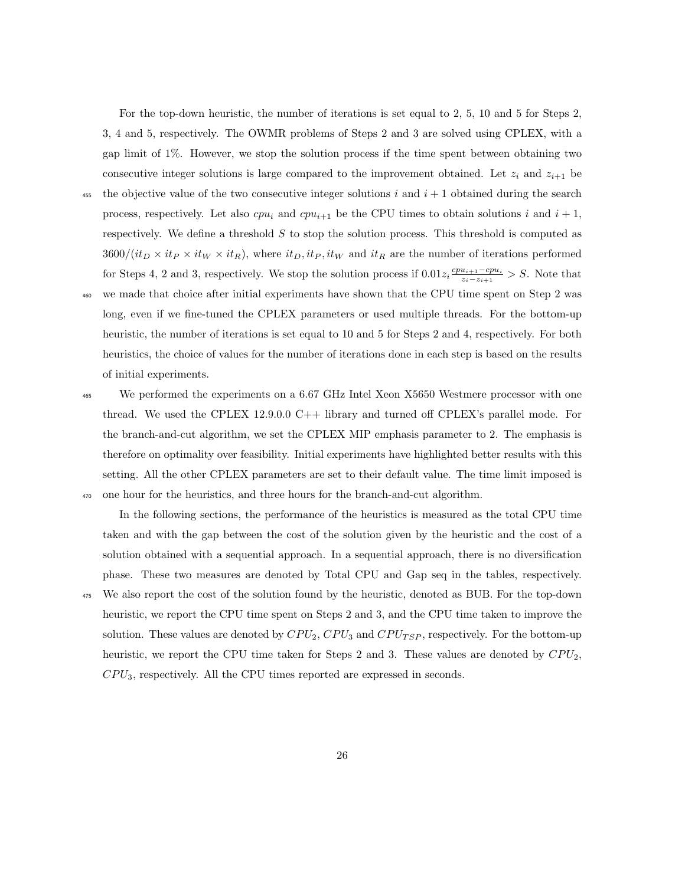For the top-down heuristic, the number of iterations is set equal to 2, 5, 10 and 5 for Steps 2, 3, 4 and 5, respectively. The OWMR problems of Steps 2 and 3 are solved using CPLEX, with a gap limit of 1%. However, we stop the solution process if the time spent between obtaining two consecutive integer solutions is large compared to the improvement obtained. Let  $z_i$  and  $z_{i+1}$  be

- 455 the objective value of the two consecutive integer solutions i and  $i + 1$  obtained during the search process, respectively. Let also  $cpu_i$  and  $cpu_{i+1}$  be the CPU times to obtain solutions i and  $i + 1$ , respectively. We define a threshold  $S$  to stop the solution process. This threshold is computed as  $3600/(it_D \times it_P \times it_W \times it_R)$ , where  $it_D, it_P, it_W$  and  $it_R$  are the number of iterations performed for Steps 4, 2 and 3, respectively. We stop the solution process if  $0.01z_i \frac{cpu_{i+1}-cpu_i}{z_i-z_{i+1}}$  $\frac{u_{i+1}-cpu_i}{z_i-z_{i+1}} > S$ . Note that
- <sup>460</sup> we made that choice after initial experiments have shown that the CPU time spent on Step 2 was long, even if we fine-tuned the CPLEX parameters or used multiple threads. For the bottom-up heuristic, the number of iterations is set equal to 10 and 5 for Steps 2 and 4, respectively. For both heuristics, the choice of values for the number of iterations done in each step is based on the results of initial experiments.
- <sup>465</sup> We performed the experiments on a 6.67 GHz Intel Xeon X5650 Westmere processor with one thread. We used the CPLEX 12.9.0.0 C++ library and turned off CPLEX's parallel mode. For the branch-and-cut algorithm, we set the CPLEX MIP emphasis parameter to 2. The emphasis is therefore on optimality over feasibility. Initial experiments have highlighted better results with this setting. All the other CPLEX parameters are set to their default value. The time limit imposed is <sup>470</sup> one hour for the heuristics, and three hours for the branch-and-cut algorithm.

In the following sections, the performance of the heuristics is measured as the total CPU time taken and with the gap between the cost of the solution given by the heuristic and the cost of a solution obtained with a sequential approach. In a sequential approach, there is no diversification phase. These two measures are denoted by Total CPU and Gap seq in the tables, respectively.

<sup>475</sup> We also report the cost of the solution found by the heuristic, denoted as BUB. For the top-down heuristic, we report the CPU time spent on Steps 2 and 3, and the CPU time taken to improve the solution. These values are denoted by  $CPU_2$ ,  $CPU_3$  and  $CPU_{TSP}$ , respectively. For the bottom-up heuristic, we report the CPU time taken for Steps 2 and 3. These values are denoted by  $CPU_2$ ,  $CPU_3$ , respectively. All the CPU times reported are expressed in seconds.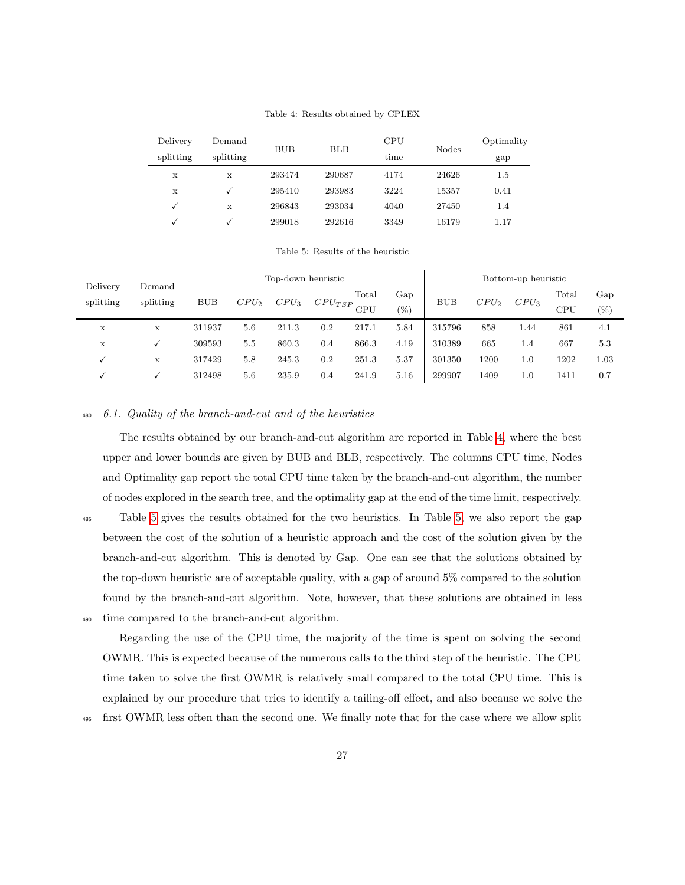## Table 4: Results obtained by CPLEX

<span id="page-26-0"></span>

| Delivery     | Demand    | <b>BUB</b> | BLB    | CPU  | Nodes | Optimality |  |
|--------------|-----------|------------|--------|------|-------|------------|--|
| splitting    | splitting |            |        | time |       | gap        |  |
| х            | X         | 293474     | 290687 | 4174 | 24626 | $1.5\,$    |  |
| X            |           | 295410     | 293983 | 3224 | 15357 | 0.41       |  |
| $\checkmark$ | X         | 296843     | 293034 | 4040 | 27450 | 1.4        |  |
| √            |           | 299018     | 292616 | 3349 | 16179 | 1.17       |  |

Table 5: Results of the heuristic

<span id="page-26-1"></span>

| Delivery<br>splitting | Demand<br>splitting |            |         | Top-down heuristic |             | Bottom-up heuristic |      |            |         |         |                   |        |
|-----------------------|---------------------|------------|---------|--------------------|-------------|---------------------|------|------------|---------|---------|-------------------|--------|
|                       |                     | <b>BUB</b> | $CPU_2$ |                    |             | Total               | Gap  | <b>BUB</b> | $CPU_2$ | $CPU_3$ | $_{\text{Total}}$ | Gap    |
|                       |                     |            |         | $CPU_3$            | $CPU_{TSP}$ | CPU                 | (0)  |            |         |         | <b>CPU</b>        | $(\%)$ |
| x                     | X                   | 311937     | 5.6     | 211.3              | 0.2         | 217.1               | 5.84 | 315796     | 858     | 1.44    | 861               | 4.1    |
| X                     |                     | 309593     | 5.5     | 860.3              | $0.4\,$     | 866.3               | 4.19 | 310389     | 665     | 1.4     | 667               | 5.3    |
|                       | X                   | 317429     | 5.8     | 245.3              | 0.2         | 251.3               | 5.37 | 301350     | 1200    | 1.0     | 1202              | 1.03   |
|                       |                     | 312498     | 5.6     | 235.9              | 0.4         | 241.9               | 5.16 | 299907     | 1409    | 1.0     | 1411              | 0.7    |

## <span id="page-26-2"></span><sup>480</sup> 6.1. Quality of the branch-and-cut and of the heuristics

The results obtained by our branch-and-cut algorithm are reported in Table [4,](#page-26-0) where the best upper and lower bounds are given by BUB and BLB, respectively. The columns CPU time, Nodes and Optimality gap report the total CPU time taken by the branch-and-cut algorithm, the number of nodes explored in the search tree, and the optimality gap at the end of the time limit, respectively.

<sup>485</sup> Table [5](#page-26-1) gives the results obtained for the two heuristics. In Table [5,](#page-26-1) we also report the gap between the cost of the solution of a heuristic approach and the cost of the solution given by the branch-and-cut algorithm. This is denoted by Gap. One can see that the solutions obtained by the top-down heuristic are of acceptable quality, with a gap of around 5% compared to the solution found by the branch-and-cut algorithm. Note, however, that these solutions are obtained in less <sup>490</sup> time compared to the branch-and-cut algorithm.

Regarding the use of the CPU time, the majority of the time is spent on solving the second OWMR. This is expected because of the numerous calls to the third step of the heuristic. The CPU time taken to solve the first OWMR is relatively small compared to the total CPU time. This is explained by our procedure that tries to identify a tailing-off effect, and also because we solve the

<sup>495</sup> first OWMR less often than the second one. We finally note that for the case where we allow split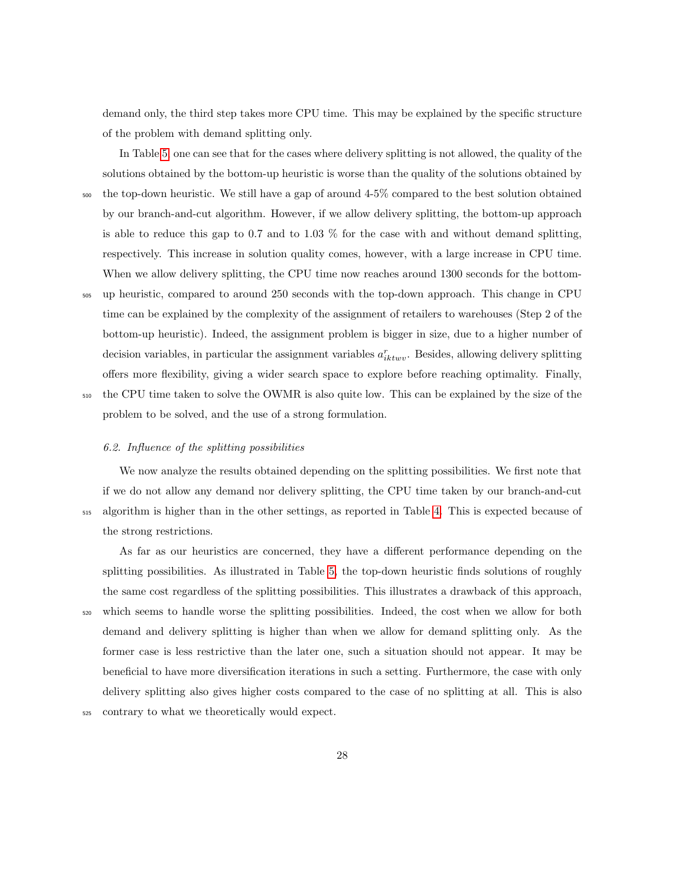demand only, the third step takes more CPU time. This may be explained by the specific structure of the problem with demand splitting only.

In Table [5,](#page-26-1) one can see that for the cases where delivery splitting is not allowed, the quality of the solutions obtained by the bottom-up heuristic is worse than the quality of the solutions obtained by <sup>500</sup> the top-down heuristic. We still have a gap of around 4-5% compared to the best solution obtained by our branch-and-cut algorithm. However, if we allow delivery splitting, the bottom-up approach is able to reduce this gap to 0.7 and to 1.03 % for the case with and without demand splitting, respectively. This increase in solution quality comes, however, with a large increase in CPU time. When we allow delivery splitting, the CPU time now reaches around 1300 seconds for the bottom-<sup>505</sup> up heuristic, compared to around 250 seconds with the top-down approach. This change in CPU time can be explained by the complexity of the assignment of retailers to warehouses (Step 2 of the bottom-up heuristic). Indeed, the assignment problem is bigger in size, due to a higher number of

decision variables, in particular the assignment variables  $a_{iktww}^r$ . Besides, allowing delivery splitting offers more flexibility, giving a wider search space to explore before reaching optimality. Finally, <sup>510</sup> the CPU time taken to solve the OWMR is also quite low. This can be explained by the size of the problem to be solved, and the use of a strong formulation.

#### <span id="page-27-0"></span>6.2. Influence of the splitting possibilities

We now analyze the results obtained depending on the splitting possibilities. We first note that if we do not allow any demand nor delivery splitting, the CPU time taken by our branch-and-cut <sup>515</sup> algorithm is higher than in the other settings, as reported in Table [4.](#page-26-0) This is expected because of the strong restrictions.

As far as our heuristics are concerned, they have a different performance depending on the splitting possibilities. As illustrated in Table [5,](#page-26-1) the top-down heuristic finds solutions of roughly the same cost regardless of the splitting possibilities. This illustrates a drawback of this approach, <sup>520</sup> which seems to handle worse the splitting possibilities. Indeed, the cost when we allow for both demand and delivery splitting is higher than when we allow for demand splitting only. As the former case is less restrictive than the later one, such a situation should not appear. It may be beneficial to have more diversification iterations in such a setting. Furthermore, the case with only delivery splitting also gives higher costs compared to the case of no splitting at all. This is also <sup>525</sup> contrary to what we theoretically would expect.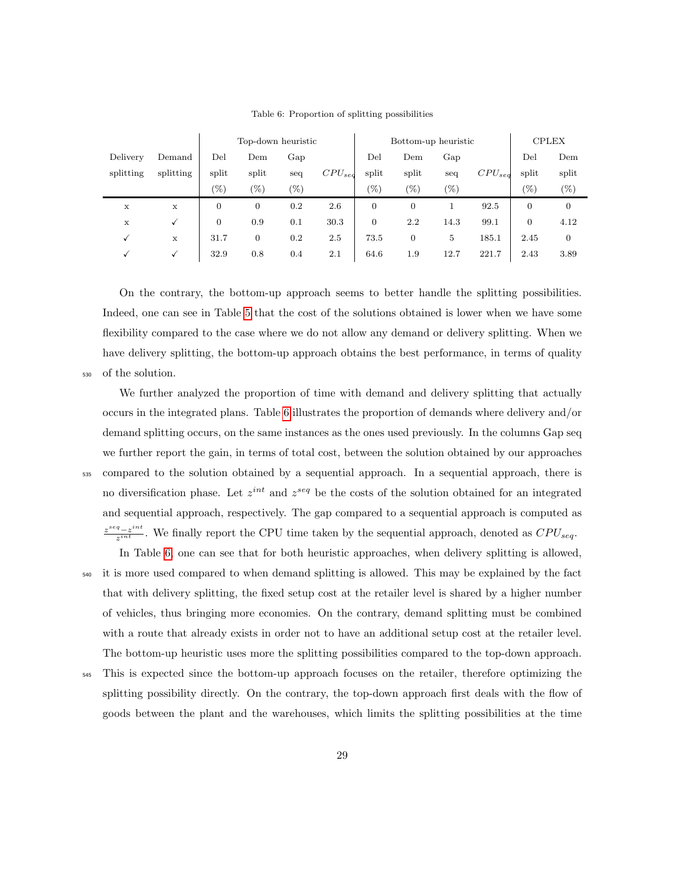<span id="page-28-0"></span>

|             |              |                | Top-down heuristic |        |             |                | Bottom-up heuristic |        | <b>CPLEX</b> |                |                |
|-------------|--------------|----------------|--------------------|--------|-------------|----------------|---------------------|--------|--------------|----------------|----------------|
| Delivery    | Demand       | Del            | Dem                | Gap    |             | Del            | Dem                 | Gap    |              | Del            | Dem            |
| splitting   | splitting    | split          | split              | seq    | $CPU_{sed}$ | split          | split               | seq    | $CPU_{seq}$  | split          | split          |
|             |              | $(\%)$         | $(\%)$             | $(\%)$ |             | $(\%)$         | $(\%)$              | $(\%)$ |              | (0)            | $(\%)$         |
| X           | X            | $\overline{0}$ | $\overline{0}$     | 0.2    | 2.6         | $\overline{0}$ | $\overline{0}$      |        | 92.5         | $\overline{0}$ | $\mathbf{0}$   |
| $\mathbf x$ | √            | 0              | 0.9                | 0.1    | 30.3        | $\overline{0}$ | 2.2                 | 14.3   | 99.1         | $\overline{0}$ | 4.12           |
| √           | X            | 31.7           | 0                  | 0.2    | 2.5         | 73.5           | $\overline{0}$      | 5      | 185.1        | 2.45           | $\overline{0}$ |
|             | $\checkmark$ | 32.9           | 0.8                | 0.4    | 2.1         | 64.6           | 1.9                 | 12.7   | 221.7        | 2.43           | 3.89           |

Table 6: Proportion of splitting possibilities

On the contrary, the bottom-up approach seems to better handle the splitting possibilities. Indeed, one can see in Table [5](#page-26-1) that the cost of the solutions obtained is lower when we have some flexibility compared to the case where we do not allow any demand or delivery splitting. When we have delivery splitting, the bottom-up approach obtains the best performance, in terms of quality

<sup>530</sup> of the solution.

We further analyzed the proportion of time with demand and delivery splitting that actually occurs in the integrated plans. Table [6](#page-28-0) illustrates the proportion of demands where delivery and/or demand splitting occurs, on the same instances as the ones used previously. In the columns Gap seq we further report the gain, in terms of total cost, between the solution obtained by our approaches <sup>535</sup> compared to the solution obtained by a sequential approach. In a sequential approach, there is no diversification phase. Let  $z^{int}$  and  $z^{seq}$  be the costs of the solution obtained for an integrated and sequential approach, respectively. The gap compared to a sequential approach is computed as  $z^{seq} - z^{int}$  $\frac{q-z^{2}}{z^{int}}$ . We finally report the CPU time taken by the sequential approach, denoted as  $CPU_{seq}$ .

- In Table [6,](#page-28-0) one can see that for both heuristic approaches, when delivery splitting is allowed, <sup>540</sup> it is more used compared to when demand splitting is allowed. This may be explained by the fact that with delivery splitting, the fixed setup cost at the retailer level is shared by a higher number of vehicles, thus bringing more economies. On the contrary, demand splitting must be combined with a route that already exists in order not to have an additional setup cost at the retailer level. The bottom-up heuristic uses more the splitting possibilities compared to the top-down approach.
- <sup>545</sup> This is expected since the bottom-up approach focuses on the retailer, therefore optimizing the splitting possibility directly. On the contrary, the top-down approach first deals with the flow of goods between the plant and the warehouses, which limits the splitting possibilities at the time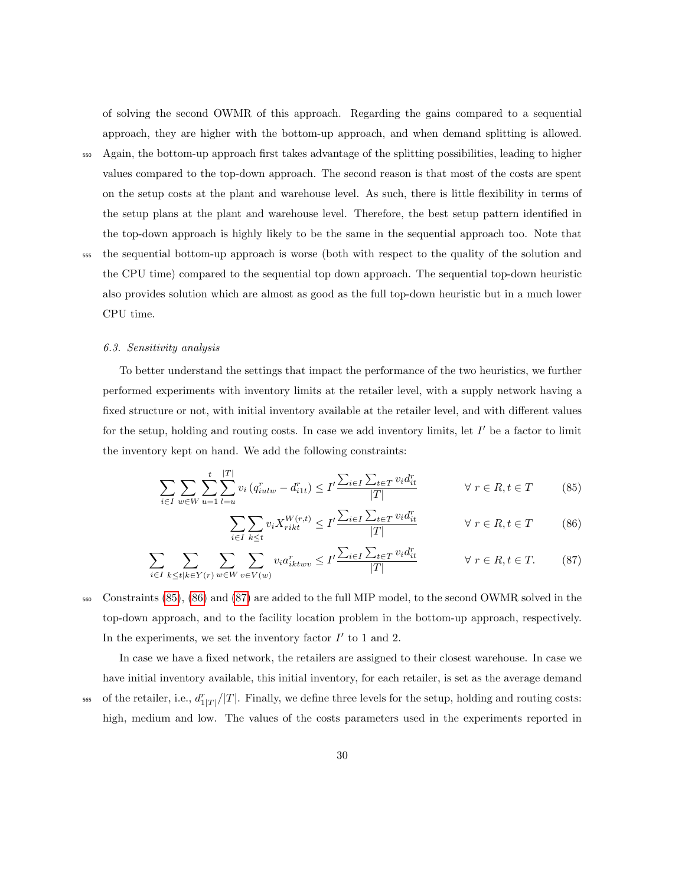of solving the second OWMR of this approach. Regarding the gains compared to a sequential approach, they are higher with the bottom-up approach, and when demand splitting is allowed.

<sup>550</sup> Again, the bottom-up approach first takes advantage of the splitting possibilities, leading to higher

values compared to the top-down approach. The second reason is that most of the costs are spent on the setup costs at the plant and warehouse level. As such, there is little flexibility in terms of the setup plans at the plant and warehouse level. Therefore, the best setup pattern identified in

the top-down approach is highly likely to be the same in the sequential approach too. Note that <sup>555</sup> the sequential bottom-up approach is worse (both with respect to the quality of the solution and the CPU time) compared to the sequential top down approach. The sequential top-down heuristic also provides solution which are almost as good as the full top-down heuristic but in a much lower CPU time.

#### 6.3. Sensitivity analysis

To better understand the settings that impact the performance of the two heuristics, we further performed experiments with inventory limits at the retailer level, with a supply network having a fixed structure or not, with initial inventory available at the retailer level, and with different values for the setup, holding and routing costs. In case we add inventory limits, let  $I'$  be a factor to limit the inventory kept on hand. We add the following constraints:

$$
\sum_{i \in I} \sum_{w \in W} \sum_{u=1}^{t} \sum_{l=u}^{|T|} v_i (q_{iulw}^r - d_{i1t}^r) \le I' \frac{\sum_{i \in I} \sum_{t \in T} v_i d_{it}^r}{|T|} \qquad \forall r \in R, t \in T
$$
 (85)

<span id="page-29-2"></span><span id="page-29-1"></span><span id="page-29-0"></span>
$$
\sum_{i \in I} \sum_{k \le t} v_i X_{rikt}^{W(r,t)} \le I' \frac{\sum_{i \in I} \sum_{t \in T} v_i d_{it}^r}{|T|} \qquad \forall \ r \in R, t \in T \tag{86}
$$

$$
\sum_{i \in I} \sum_{k \le t | k \in Y(r)} \sum_{w \in W} \sum_{v \in V(w)} v_i a_{iktwv}^r \le I' \frac{\sum_{i \in I} \sum_{t \in T} v_i d_{it}^r}{|T|} \qquad \forall r \in R, t \in T. \tag{87}
$$

<sup>560</sup> Constraints [\(85\)](#page-29-0), [\(86\)](#page-29-1) and [\(87\)](#page-29-2) are added to the full MIP model, to the second OWMR solved in the top-down approach, and to the facility location problem in the bottom-up approach, respectively. In the experiments, we set the inventory factor  $I'$  to 1 and 2.

In case we have a fixed network, the retailers are assigned to their closest warehouse. In case we have initial inventory available, this initial inventory, for each retailer, is set as the average demand

<sup>565</sup> of the retailer, i.e.,  $d_{1|T|}^r/|T|$ . Finally, we define three levels for the setup, holding and routing costs: high, medium and low. The values of the costs parameters used in the experiments reported in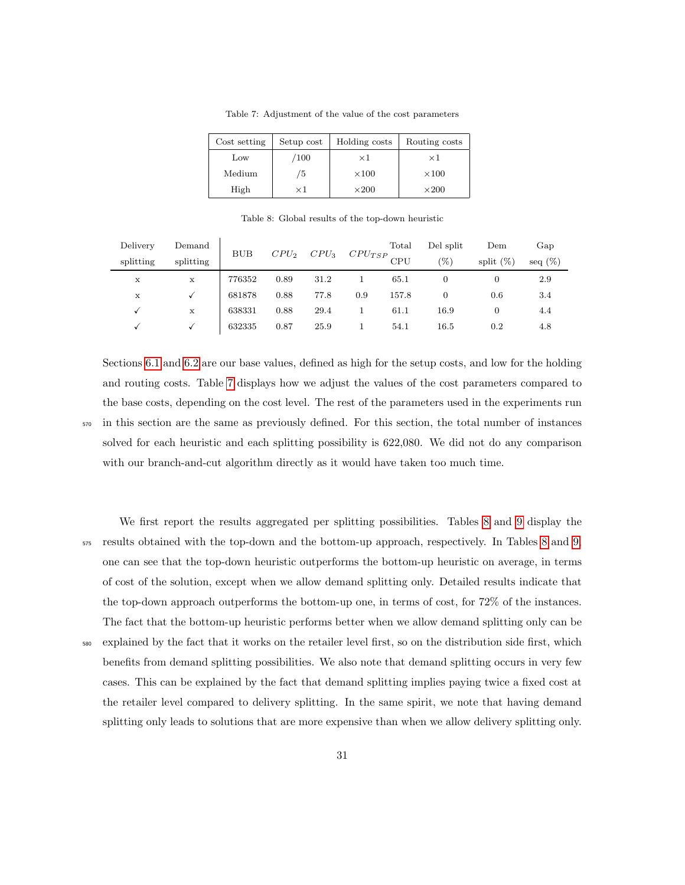<span id="page-30-0"></span>

| Cost setting | Setup cost | Holding costs | Routing costs |
|--------------|------------|---------------|---------------|
| Low          | /100       | $\times 1$    | $\times 1$    |
| Medium       | 75         | $\times 100$  | $\times 100$  |
| High         | $\times 1$ | $\times 200$  | $\times 200$  |

Table 7: Adjustment of the value of the cost parameters

Table 8: Global results of the top-down heuristic

<span id="page-30-1"></span>

| Delivery  | Demand    | <b>BUB</b> |         | $CPU_3$ |     | Total           | Del split | Dem          | Gap        |
|-----------|-----------|------------|---------|---------|-----|-----------------|-----------|--------------|------------|
| splitting | splitting |            | $CPU_2$ |         |     | $CPU_{TSP}$ CPU | $(\%)$    | split $(\%)$ | seq $(\%)$ |
| х         | X         | 776352     | 0.89    | 31.2    |     | 65.1            |           |              | 2.9        |
| X         |           | 681878     | 0.88    | 77.8    | 0.9 | 157.8           |           | 0.6          | 3.4        |
|           | X         | 638331     | 0.88    | 29.4    |     | 61.1            | 16.9      |              | 4.4        |
|           |           | 632335     | 0.87    | 25.9    |     | 54.1            | 16.5      | 0.2          | 4.8        |

Sections [6.1](#page-26-2) and [6.2](#page-27-0) are our base values, defined as high for the setup costs, and low for the holding and routing costs. Table [7](#page-30-0) displays how we adjust the values of the cost parameters compared to the base costs, depending on the cost level. The rest of the parameters used in the experiments run

<sup>570</sup> in this section are the same as previously defined. For this section, the total number of instances solved for each heuristic and each splitting possibility is 622,080. We did not do any comparison with our branch-and-cut algorithm directly as it would have taken too much time.

We first report the results aggregated per splitting possibilities. Tables [8](#page-30-1) and [9](#page-31-0) display the <sup>575</sup> results obtained with the top-down and the bottom-up approach, respectively. In Tables [8](#page-30-1) and [9,](#page-31-0) one can see that the top-down heuristic outperforms the bottom-up heuristic on average, in terms of cost of the solution, except when we allow demand splitting only. Detailed results indicate that the top-down approach outperforms the bottom-up one, in terms of cost, for 72% of the instances. The fact that the bottom-up heuristic performs better when we allow demand splitting only can be <sup>580</sup> explained by the fact that it works on the retailer level first, so on the distribution side first, which benefits from demand splitting possibilities. We also note that demand splitting occurs in very few cases. This can be explained by the fact that demand splitting implies paying twice a fixed cost at the retailer level compared to delivery splitting. In the same spirit, we note that having demand splitting only leads to solutions that are more expensive than when we allow delivery splitting only.

31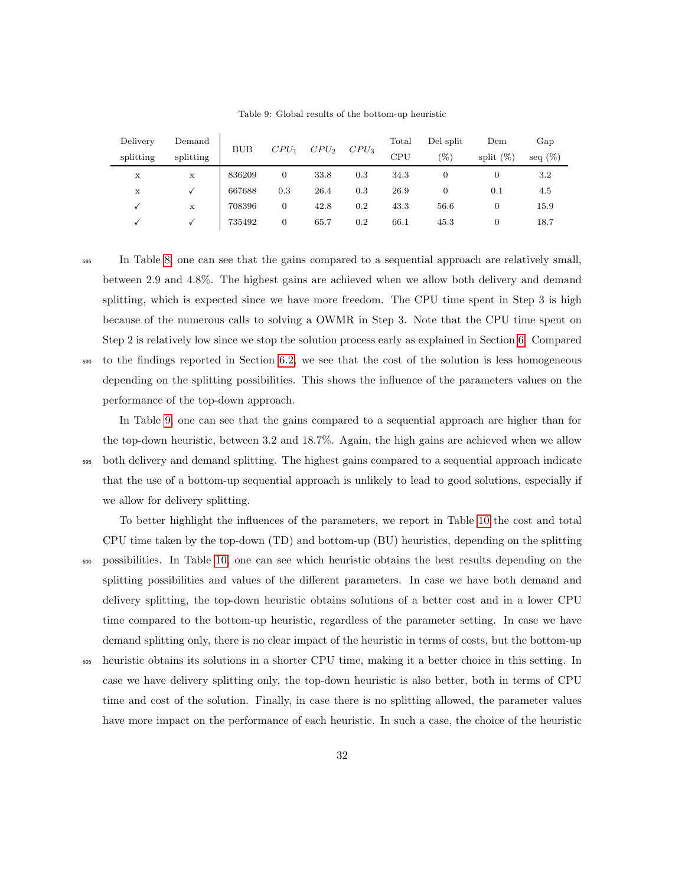<span id="page-31-0"></span>

| Delivery  | Demand    | <b>BUB</b> | $CPU_1$ | $CPU_2$ | $CPU_3$ | Total | Del split | Dem          | Gap        |
|-----------|-----------|------------|---------|---------|---------|-------|-----------|--------------|------------|
| splitting | splitting |            |         |         |         | CPU   | (%)       | split $(\%)$ | seq $(\%)$ |
| X         | X         | 836209     |         | 33.8    | 0.3     | 34.3  |           |              | 3.2        |
| х         |           | 667688     | 0.3     | 26.4    | 0.3     | 26.9  |           | 0.1          | 4.5        |
|           | X         | 708396     | 0       | 42.8    | 0.2     | 43.3  | 56.6      |              | 15.9       |
|           |           | 735492     | 0       | 65.7    | 0.2     | 66.1  | 45.3      |              | 18.7       |

Table 9: Global results of the bottom-up heuristic

<sup>585</sup> In Table [8,](#page-30-1) one can see that the gains compared to a sequential approach are relatively small, between 2.9 and 4.8%. The highest gains are achieved when we allow both delivery and demand splitting, which is expected since we have more freedom. The CPU time spent in Step 3 is high because of the numerous calls to solving a OWMR in Step 3. Note that the CPU time spent on Step 2 is relatively low since we stop the solution process early as explained in Section [6.](#page-23-0) Compared <sup>590</sup> to the findings reported in Section [6.2,](#page-27-0) we see that the cost of the solution is less homogeneous depending on the splitting possibilities. This shows the influence of the parameters values on the performance of the top-down approach.

In Table [9,](#page-31-0) one can see that the gains compared to a sequential approach are higher than for the top-down heuristic, between 3.2 and 18.7%. Again, the high gains are achieved when we allow <sup>595</sup> both delivery and demand splitting. The highest gains compared to a sequential approach indicate that the use of a bottom-up sequential approach is unlikely to lead to good solutions, especially if we allow for delivery splitting.

To better highlight the influences of the parameters, we report in Table [10](#page-32-0) the cost and total CPU time taken by the top-down (TD) and bottom-up (BU) heuristics, depending on the splitting <sup>600</sup> possibilities. In Table [10,](#page-32-0) one can see which heuristic obtains the best results depending on the splitting possibilities and values of the different parameters. In case we have both demand and delivery splitting, the top-down heuristic obtains solutions of a better cost and in a lower CPU time compared to the bottom-up heuristic, regardless of the parameter setting. In case we have demand splitting only, there is no clear impact of the heuristic in terms of costs, but the bottom-up <sup>605</sup> heuristic obtains its solutions in a shorter CPU time, making it a better choice in this setting. In case we have delivery splitting only, the top-down heuristic is also better, both in terms of CPU time and cost of the solution. Finally, in case there is no splitting allowed, the parameter values

have more impact on the performance of each heuristic. In such a case, the choice of the heuristic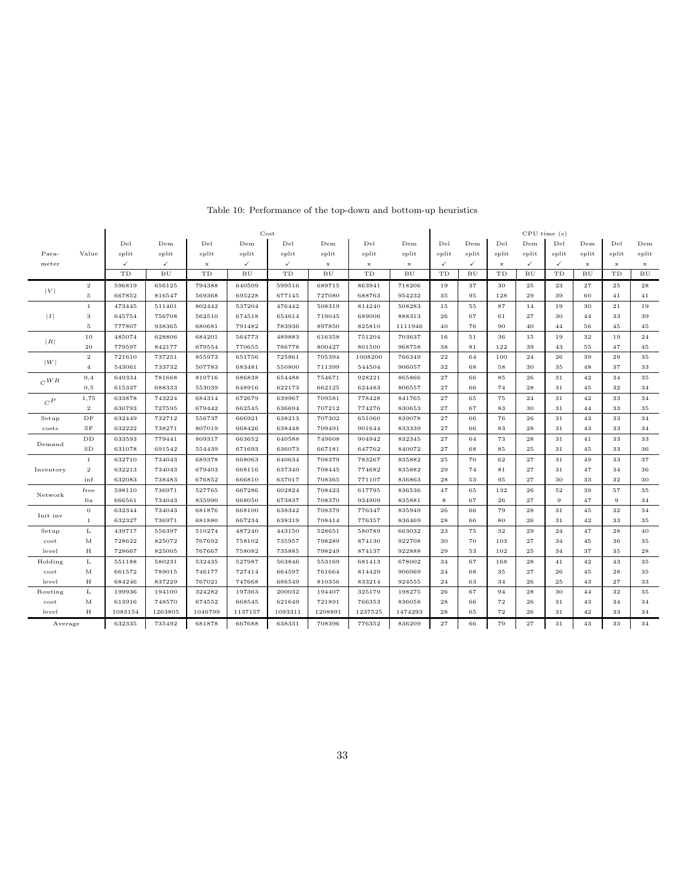<span id="page-32-0"></span>

|                        |                |              |                  |             |              | Cost            |             |             |             | CPU time(s)  |                   |             |              |              |             |             |                   |
|------------------------|----------------|--------------|------------------|-------------|--------------|-----------------|-------------|-------------|-------------|--------------|-------------------|-------------|--------------|--------------|-------------|-------------|-------------------|
|                        |                | Del          | Dem              | Del         | Dem          | De <sub>1</sub> | Dem         | Del         | Dem         | Del          | Dem               | Del         | Dem          | Del          | Dem         | Del         | Dem               |
| Para-                  | Value          | split        | split            | split       | split        | split           | split       | split       | split       | split        | split             | split       | split        | split        | split       | split       | split             |
| meter                  |                | $\checkmark$ | $\checkmark$     | $\mathbf x$ | $\checkmark$ | $\checkmark$    | $\mathbf x$ | $\mathbf x$ | $\mathbf x$ | $\checkmark$ | $\checkmark$      | $\mathbf x$ | $\checkmark$ | $\checkmark$ | $\mathbf x$ | $\mathbf x$ | $\mathbf x$       |
|                        |                | TD           | ${\bf B}{\bf U}$ | TD          | BU           | TD              | BU          | TD          | BU          | TD           | ${\bf B} {\bf U}$ | TD          | BU           | TD           | BU          | TD          | ${\bf B} {\bf U}$ |
|                        | $\,2\,$        | 596819       | 656125           | 794388      | 640509       | 599516          | 689715      | 863941      | 718206      | 19           | 37                | 30          | 25           | 23           | 27          | 25          | 28                |
| V                      | 5              | 667852       | 816547           | 569368      | 695228       | 677145          | 727080      | 688763      | 954232      | 35           | 95                | 128         | 29           | 39           | 60          | 41          | 41                |
|                        | $\mathbf{1}$   | 473445       | 511401           | 802442      | 537204       | 476442          | 508319      | 814240      | 508283      | 15           | 55                | 87          | 14           | 19           | 30          | $\sqrt{21}$ | 19                |
| I                      | 3              | 645754       | 756708           | 562510      | 674518       | 654614          | 719045      | 689006      | 888313      | 26           | 67                | 61          | 27           | 30           | 44          | 33          | 39                |
|                        | 5              | 777807       | 938365           | 680681      | 791482       | 783936          | 897850      | 825810      | 1111946     | 40           | 76                | 90          | 40           | 44           | 56          | 45          | 45                |
| R                      | $10$           | 485074       | 628806           | 684201      | 564773       | 489883          | 616358      | 751204      | 703637      | 16           | $5\,1$            | 36          | 15           | 19           | 32          | 19          | 24                |
|                        | 20             | 779597       | 842177           | 679554      | 770655       | 786778          | 800427      | 801500      | 968758      | 38           | 81                | 122         | 39           | 43           | 55          | 47          | 45                |
| W                      | $\overline{2}$ | 721610       | 737251           | 855973      | 651756       | 725861          | 705394      | 1008200     | 766349      | $^{\rm 22}$  | 64                | 100         | 24           | 26           | 39          | 29          | 35                |
|                        | $\overline{4}$ | 543061       | 733732           | 507783      | 683481       | 550800          | 711399      | 544504      | 906057      | 32           | 68                | 58          | 30           | 35           | 48          | 37          | 33                |
| $C^{WR}$               | 0,4            | 649334       | 781668           | 810716      | 686838       | 654488          | 754671      | 928221      | 865866      | 27           | 66                | 85          | 26           | 31           | 42          | 34          | 35                |
|                        | 0,5            | 615337       | 688333           | 553039      | 648916       | 622173          | 662125      | 624483      | 806557      | 27           | 66                | 74          | 28           | 31           | 45          | 32          | 34                |
| $\boldsymbol{C}^{\,P}$ | 1,75           | 633878       | 743224           | 684314      | 672679       | 639967          | 709581      | 778428      | 841765      | 27           | 65                | 75          | 24           | 31           | 42          | 33          | 34                |
|                        | $\overline{2}$ | 630793       | 727595           | 679442      | 662545       | 636694          | 707212      | 774276      | 830653      | 27           | 67                | 83          | 30           | 31           | 44          | 33          | 35                |
| Setup                  | $\rm DF$       | 632449       | 732712           | 556737      | 666921       | 638213          | 707302      | 651060      | 839078      | 27           | 66                | 76          | 26           | 31           | 43          | 33          | 34                |
| costs                  | $_{\rm SF}$    | 632222       | 738271           | 807019      | 668426       | 638448          | 709491      | 901644      | 833339      | 27           | 66                | 83          | 28           | 31           | 43          | 33          | 34                |
|                        | $_{\rm DD}$    | 633593       | 779441           | 809317      | 663652       | 640588          | 749608      | 904942      | 832345      | 27           | 64                | 73          | 28           | 31           | 41          | 33          | 33                |
| Demand                 | SD             | 631078       | 691542           | 554439      | 671693       | 636073          | 667181      | 647762      | 840072      | 27           | 68                | 85          | 25           | 31           | 45          | 33          | 36                |
|                        | $\mathbf{1}$   | 632710       | 734043           | 689378      | 668063       | 640634          | 708379      | 783267      | 835882      | 25           | 70                | 62          | 27           | 31           | 49          | 33          | 37                |
| Inventory              | $\overline{2}$ | 632213       | 734043           | 679403      | 668116       | 637340          | 708445      | 774682      | 835882      | 29           | 74                | 81          | 27           | 31           | 47          | 34          | 36                |
|                        | inf            | 632083       | 738483           | 676852      | 666810       | 637017          | 708365      | 771107      | 836863      | 28           | 53                | 95          | 27           | 30           | 33          | 32          | 30                |
| Network                | free           | 598110       | 736971           | 527765      | 667286       | 602824          | 708423      | 617795      | 836536      | 47           | 65                | 132         | 26           | 52           | 39          | 57          | 35                |
|                        | fix            | 666561       | 734043           | 835990      | 668050       | 673837          | 708370      | 934909      | 835881      | 8            | 67                | 26          | 27           | 9            | 47          | 9           | 34                |
| Init inv               | $\overline{0}$ | 632344       | 734043           | 681876      | 668100       | 638342          | 708379      | 776347      | 835949      | 26           | 66                | 79          | 28           | 31           | 45          | 32          | 34                |
|                        | $\mathbf{1}$   | 632327       | 736971           | 681880      | 667234       | 638319          | 708414      | 776357      | 836469      | 28           | 66                | 80          | 26           | 31           | 42          | 33          | 35                |
| Setup                  | L              | 439717       | 556397           | 510274      | 487240       | 443150          | 528651      | 580789      | 663032      | 23           | 75                | 32          | 29           | 24           | 47          | 28          | 40                |
| cost                   | М              | 728622       | 825072           | 767692      | 758102       | 735957          | 798289      | 874130      | 922708      | 30           | 70                | 103         | 27           | 34           | 45          | 36          | 35                |
| level                  | Н              | 728667       | 825005           | 767667      | 758082       | 735885          | 798249      | 874137      | 922888      | 29           | 53                | 102         | 25           | 34           | 37          | 35          | 28                |
| Holding                | L              | 551188       | 580231           | 532435      | 527987       | 563846          | 553169      | 681413      | 678002      | 34           | 67                | 168         | 28           | 41           | 42          | 43          | 35                |
| cost                   | М              | 661572       | 789015           | 746177      | 727414       | 664597          | 761664      | 814429      | 906069      | 24           | 68                | 35          | 27           | 26           | 45          | 28          | 35                |
| level                  | H              | 684246       | 837229           | 767021      | 747668       | 686549          | 810356      | 833214      | 924555      | 24           | 63                | 34          | 26           | 25           | 43          | 27          | 33                |
| Routing                | L              | 199936       | 194100           | 324282      | 197363       | 200032          | 194407      | 325179      | 198275      | 26           | 67                | 94          | 28           | 30           | 44          | 32          | 35                |
| cost                   | М              | 613916       | 748570           | 674552      | 668545       | 621649          | 721891      | 766353      | 836058      | 28           | 66                | 72          | 26           | 31           | 43          | 34          | 34                |
| level                  | н              | 1083154      | 1263805          | 1046799     | 1137157      | 1093311         | 1208891     | 1237525     | 1474293     | 28           | 65                | 72          | 26           | 31           | 42          | 33          | 34                |
| Average                |                | 632335       | 735492           | 681878      | 667688       | 638331          | 708396      | 776352      | 836209      | 27           | 66                | 79          | 27           | 31           | 43          | 33          | 34                |

# Table 10: Performance of the top-down and bottom-up heuristics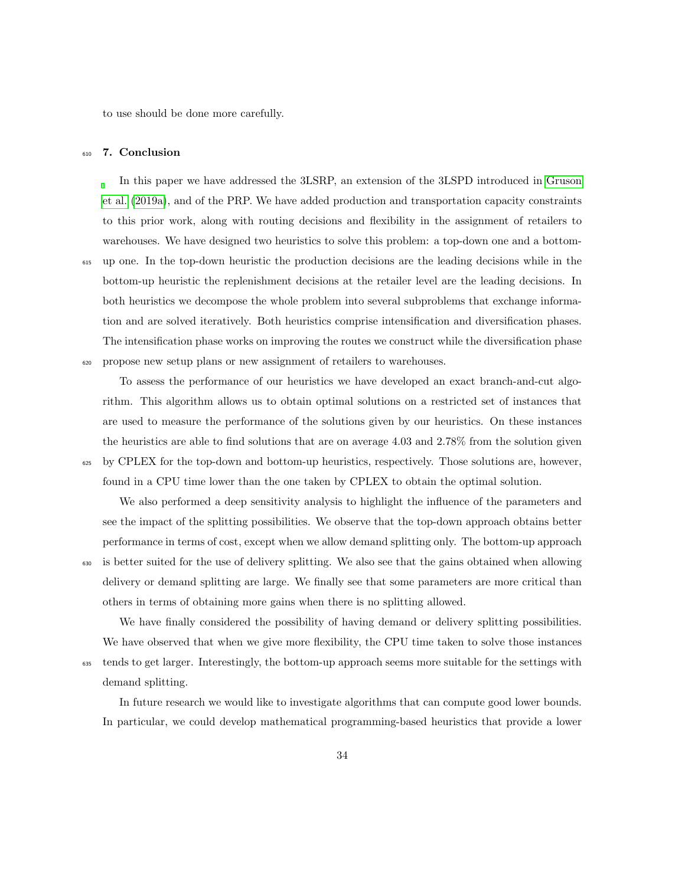to use should be done more carefully.

#### <span id="page-33-0"></span><sup>610</sup> 7. Conclusion

In this paper we have addressed the 3LSRP, an extension of the 3LSPD introduced in [Gruson](#page-36-1) [et al.](#page-36-1) [\(2019a\)](#page-36-1), and of the PRP. We have added production and transportation capacity constraints to this prior work, along with routing decisions and flexibility in the assignment of retailers to warehouses. We have designed two heuristics to solve this problem: a top-down one and a bottom-<sup>615</sup> up one. In the top-down heuristic the production decisions are the leading decisions while in the bottom-up heuristic the replenishment decisions at the retailer level are the leading decisions. In both heuristics we decompose the whole problem into several subproblems that exchange information and are solved iteratively. Both heuristics comprise intensification and diversification phases. The intensification phase works on improving the routes we construct while the diversification phase <sup>620</sup> propose new setup plans or new assignment of retailers to warehouses.

To assess the performance of our heuristics we have developed an exact branch-and-cut algorithm. This algorithm allows us to obtain optimal solutions on a restricted set of instances that are used to measure the performance of the solutions given by our heuristics. On these instances the heuristics are able to find solutions that are on average 4.03 and 2.78% from the solution given <sup>625</sup> by CPLEX for the top-down and bottom-up heuristics, respectively. Those solutions are, however,

found in a CPU time lower than the one taken by CPLEX to obtain the optimal solution.

We also performed a deep sensitivity analysis to highlight the influence of the parameters and see the impact of the splitting possibilities. We observe that the top-down approach obtains better performance in terms of cost, except when we allow demand splitting only. The bottom-up approach

<sup>630</sup> is better suited for the use of delivery splitting. We also see that the gains obtained when allowing delivery or demand splitting are large. We finally see that some parameters are more critical than others in terms of obtaining more gains when there is no splitting allowed.

We have finally considered the possibility of having demand or delivery splitting possibilities. We have observed that when we give more flexibility, the CPU time taken to solve those instances

<sub>635</sub> tends to get larger. Interestingly, the bottom-up approach seems more suitable for the settings with demand splitting.

In future research we would like to investigate algorithms that can compute good lower bounds. In particular, we could develop mathematical programming-based heuristics that provide a lower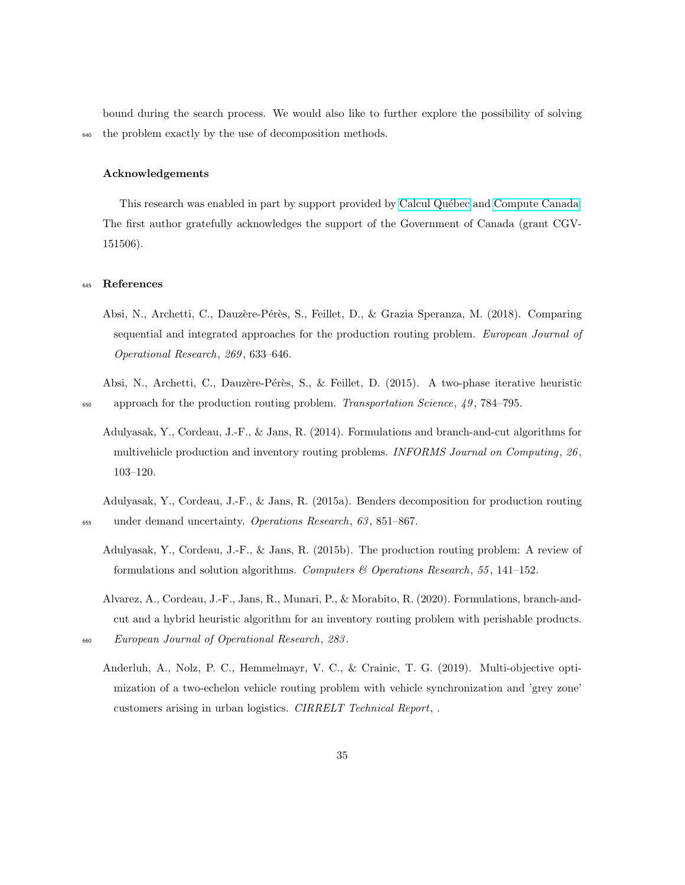bound during the search process. We would also like to further explore the possibility of solving <sup>640</sup> the problem exactly by the use of decomposition methods.

### Acknowledgements

This research was enabled in part by support provided by Calcul Québec and [Compute Canada.](https://www.computecanada.ca) The first author gratefully acknowledges the support of the Government of Canada (grant CGV-151506).

### <span id="page-34-0"></span><sup>645</sup> References

Absi, N., Archetti, C., Dauzère-Pérès, S., Feillet, D., & Grazia Speranza, M. (2018). Comparing sequential and integrated approaches for the production routing problem. European Journal of Operational Research, 269 , 633–646.

<span id="page-34-4"></span>Absi, N., Archetti, C., Dauzère-Pérès, S., & Feillet, D. (2015). A two-phase iterative heuristic  $\epsilon_{650}$  approach for the production routing problem. Transportation Science, 49, 784–795.

<span id="page-34-6"></span>Adulyasak, Y., Cordeau, J.-F., & Jans, R. (2014). Formulations and branch-and-cut algorithms for multivehicle production and inventory routing problems. INFORMS Journal on Computing,  $26$ , 103–120.

<span id="page-34-2"></span>Adulyasak, Y., Cordeau, J.-F., & Jans, R. (2015a). Benders decomposition for production routing <sup>655</sup> under demand uncertainty. Operations Research, 63, 851–867.

- <span id="page-34-3"></span>Adulyasak, Y., Cordeau, J.-F., & Jans, R. (2015b). The production routing problem: A review of formulations and solution algorithms. Computers  $\mathcal{B}$  Operations Research, 55, 141–152.
- <span id="page-34-5"></span>Alvarez, A., Cordeau, J.-F., Jans, R., Munari, P., & Morabito, R. (2020). Formulations, branch-andcut and a hybrid heuristic algorithm for an inventory routing problem with perishable products.

Anderluh, A., Nolz, P. C., Hemmelmayr, V. C., & Crainic, T. G. (2019). Multi-objective optimization of a two-echelon vehicle routing problem with vehicle synchronization and 'grey zone' customers arising in urban logistics. CIRRELT Technical Report, .

<span id="page-34-1"></span><sup>660</sup> European Journal of Operational Research, 283 .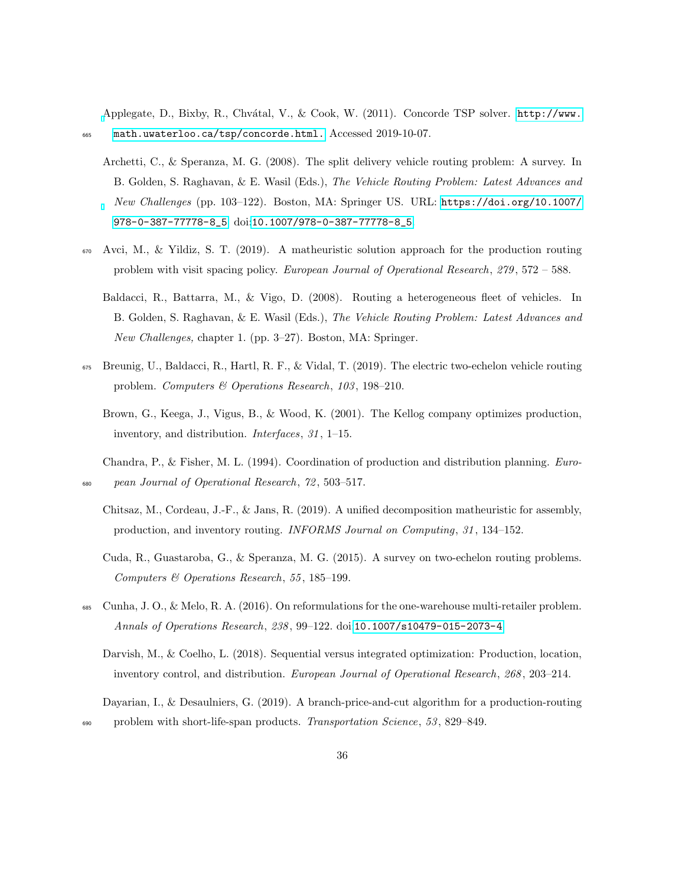<span id="page-35-11"></span>[A](http://www.math. uwaterloo.ca/tsp/concorde.html.)pplegate, D., Bixby, R., Chvátal, V., & Cook, W. (2011). Concorde TSP solver. [http://www.](http://www.math. uwaterloo.ca/tsp/concorde.html.) <sup>665</sup> [math.uwaterloo.ca/tsp/concorde.html.](http://www.math. uwaterloo.ca/tsp/concorde.html.) Accessed 2019-10-07.

- <span id="page-35-9"></span>Archetti, C., & Speranza, M. G. (2008). The split delivery vehicle routing problem: A survey. In B. Golden, S. Raghavan, & E. Wasil (Eds.), The Vehicle Routing Problem: Latest Advances and New Challenges (pp. 103–122). Boston, MA: Springer US. URL: [https://doi.org/10.1007/](https://doi.org/10.1007/978-0-387-77778-8_5) [978-0-387-77778-8\\_5](https://doi.org/10.1007/978-0-387-77778-8_5). doi:[10.1007/978-0-387-77778-8\\_5](http://dx.doi.org/10.1007/978-0-387-77778-8_5).
- <span id="page-35-8"></span><span id="page-35-6"></span>Avci, M., & Yildiz, S. T. (2019). A matheuristic solution approach for the production routing problem with visit spacing policy. European Journal of Operational Research, 279, 572 – 588.
	- Baldacci, R., Battarra, M., & Vigo, D. (2008). Routing a heterogeneous fleet of vehicles. In B. Golden, S. Raghavan, & E. Wasil (Eds.), The Vehicle Routing Problem: Latest Advances and New Challenges, chapter 1. (pp. 3–27). Boston, MA: Springer.
- <span id="page-35-4"></span><span id="page-35-1"></span> $_{675}$  Breunig, U., Baldacci, R., Hartl, R. F., & Vidal, T. (2019). The electric two-echelon vehicle routing problem. Computers & Operations Research, 103 , 198–210.
	- Brown, G., Keega, J., Vigus, B., & Wood, K. (2001). The Kellog company optimizes production, inventory, and distribution. *Interfaces*, 31, 1–15.
- <span id="page-35-7"></span><span id="page-35-0"></span>Chandra, P., & Fisher, M. L. (1994). Coordination of production and distribution planning. Euro-<sup>680</sup> pean Journal of Operational Research, 72 , 503–517.
	- Chitsaz, M., Cordeau, J.-F., & Jans, R. (2019). A unified decomposition matheuristic for assembly, production, and inventory routing. INFORMS Journal on Computing, 31 , 134–152.
	- Cuda, R., Guastaroba, G., & Speranza, M. G. (2015). A survey on two-echelon routing problems. Computers & Operations Research, 55 , 185–199.
- <span id="page-35-10"></span><span id="page-35-3"></span><span id="page-35-2"></span><sup>685</sup> Cunha, J. O., & Melo, R. A. (2016). On reformulations for the one-warehouse multi-retailer problem. Annals of Operations Research, 238 , 99–122. doi:[10.1007/s10479-015-2073-4](http://dx.doi.org/10.1007/s10479-015-2073-4).
	- Darvish, M., & Coelho, L. (2018). Sequential versus integrated optimization: Production, location, inventory control, and distribution. European Journal of Operational Research, 268, 203-214.

<span id="page-35-5"></span>Dayarian, I., & Desaulniers, G. (2019). A branch-price-and-cut algorithm for a production-routing <sub>690</sub> problem with short-life-span products. Transportation Science, 53, 829–849.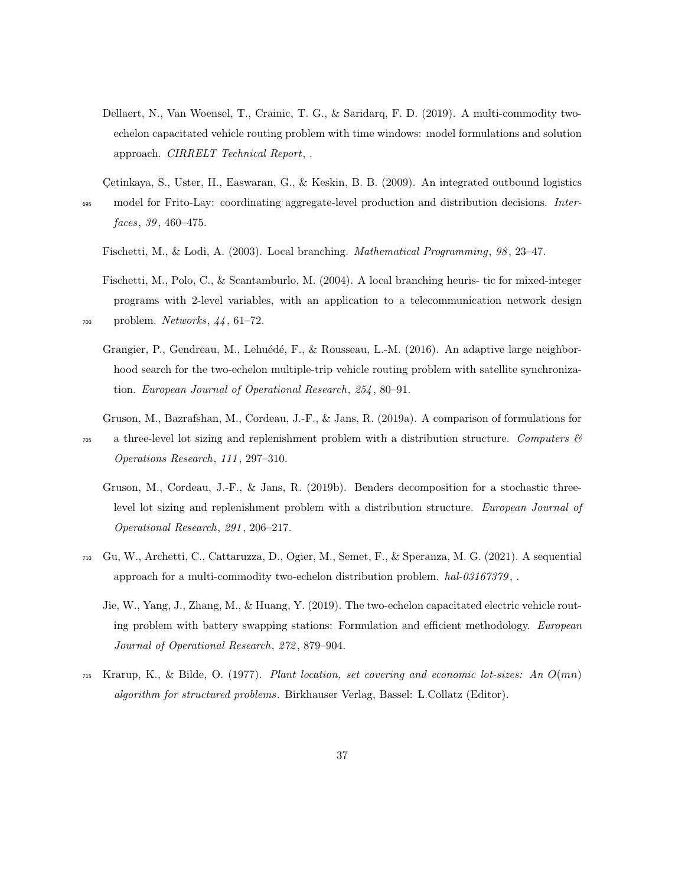<span id="page-36-5"></span>Dellaert, N., Van Woensel, T., Crainic, T. G., & Saridarq, F. D. (2019). A multi-commodity twoechelon capacitated vehicle routing problem with time windows: model formulations and solution approach. CIRRELT Technical Report, .

<span id="page-36-0"></span>Cetinkaya, S., Uster, H., Easwaran, G., & Keskin, B. B. (2009). An integrated outbound logistics

<sup>695</sup> model for Frito-Lay: coordinating aggregate-level production and distribution decisions. Interfaces, 39, 460-475.

- <span id="page-36-8"></span>Fischetti, M., & Lodi, A. (2003). Local branching. *Mathematical Programming*, 98, 23–47.
- <span id="page-36-9"></span><span id="page-36-4"></span>Fischetti, M., Polo, C., & Scantamburlo, M. (2004). A local branching heuris- tic for mixed-integer programs with 2-level variables, with an application to a telecommunication network design <sup>700</sup> problem. Networks, 44 , 61–72.
	- Grangier, P., Gendreau, M., Lehuédé, F., & Rousseau, L.-M. (2016). An adaptive large neighborhood search for the two-echelon multiple-trip vehicle routing problem with satellite synchronization. European Journal of Operational Research, 254 , 80–91.
	- Gruson, M., Bazrafshan, M., Cordeau, J.-F., & Jans, R. (2019a). A comparison of formulations for
- <span id="page-36-2"></span><span id="page-36-1"></span> $\sigma_{\text{5}}$  a three-level lot sizing and replenishment problem with a distribution structure. Computers  $\mathscr{C}$ Operations Research, 111 , 297–310.
	- Gruson, M., Cordeau, J.-F., & Jans, R. (2019b). Benders decomposition for a stochastic threelevel lot sizing and replenishment problem with a distribution structure. European Journal of Operational Research, 291 , 206–217.
- <span id="page-36-6"></span><span id="page-36-3"></span><sup>710</sup> Gu, W., Archetti, C., Cattaruzza, D., Ogier, M., Semet, F., & Speranza, M. G. (2021). A sequential approach for a multi-commodity two-echelon distribution problem.  $hal-03167379$ ,.
	- Jie, W., Yang, J., Zhang, M., & Huang, Y. (2019). The two-echelon capacitated electric vehicle routing problem with battery swapping stations: Formulation and efficient methodology. European Journal of Operational Research, 272 , 879–904.
- <span id="page-36-7"></span> $_{715}$  Krarup, K., & Bilde, O. (1977). Plant location, set covering and economic lot-sizes: An  $O(mn)$ algorithm for structured problems. Birkhauser Verlag, Bassel: L.Collatz (Editor).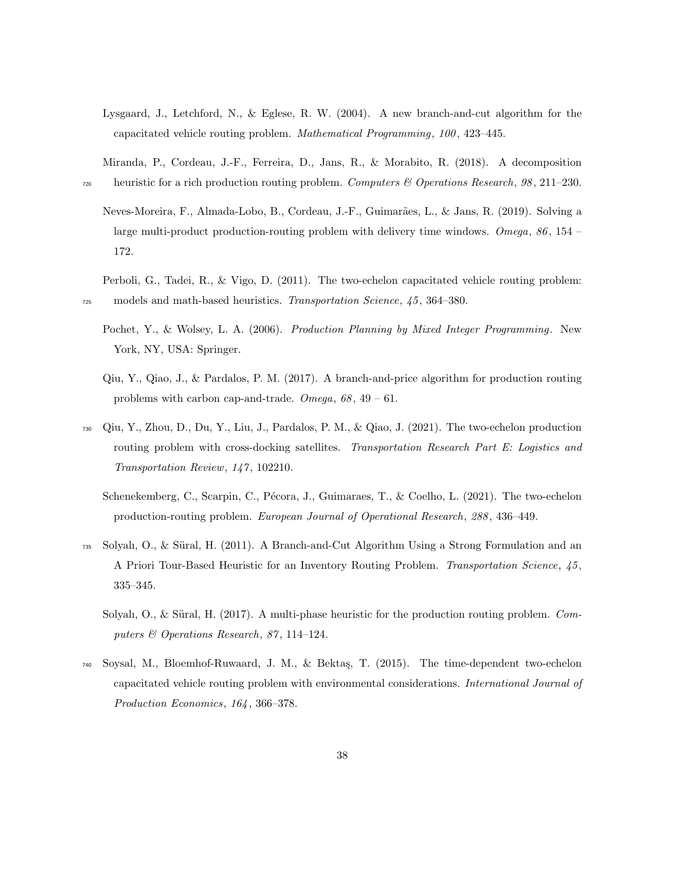<span id="page-37-8"></span>Lysgaard, J., Letchford, N., & Eglese, R. W. (2004). A new branch-and-cut algorithm for the capacitated vehicle routing problem. *Mathematical Programming*, 100, 423-445.

<span id="page-37-5"></span>Miranda, P., Cordeau, J.-F., Ferreira, D., Jans, R., & Morabito, R. (2018). A decomposition <sub>720</sub> heuristic for a rich production routing problem. Computers & Operations Research, 98, 211–230.

<span id="page-37-3"></span>Neves-Moreira, F., Almada-Lobo, B., Cordeau, J.-F., Guimarães, L., & Jans, R. (2019). Solving a large multi-product production-routing problem with delivery time windows. Omega, 86 , 154 – 172.

<span id="page-37-0"></span>Perboli, G., Tadei, R., & Vigo, D. (2011). The two-echelon capacitated vehicle routing problem: <sup>725</sup> models and math-based heuristics. Transportation Science, 45 , 364–380.

- <span id="page-37-10"></span>Pochet, Y., & Wolsey, L. A. (2006). Production Planning by Mixed Integer Programming. New York, NY, USA: Springer.
- <span id="page-37-4"></span>Qiu, Y., Qiao, J., & Pardalos, P. M. (2017). A branch-and-price algorithm for production routing problems with carbon cap-and-trade. Omega,  $68, 49 - 61$ .
- <span id="page-37-7"></span><span id="page-37-6"></span><sup>730</sup> Qiu, Y., Zhou, D., Du, Y., Liu, J., Pardalos, P. M., & Qiao, J. (2021). The two-echelon production routing problem with cross-docking satellites. Transportation Research Part E: Logistics and Transportation Review, 147 , 102210.
	- Schenekemberg, C., Scarpin, C., Pécora, J., Guimaraes, T., & Coelho, L. (2021). The two-echelon production-routing problem. European Journal of Operational Research, 288 , 436–449.
- <span id="page-37-9"></span><span id="page-37-2"></span> $_{735}$  Solyalı, O., & Süral, H. (2011). A Branch-and-Cut Algorithm Using a Strong Formulation and an A Priori Tour-Based Heuristic for an Inventory Routing Problem. Transportation Science, 45, 335–345.
	- Solyalı, O., & Süral, H. (2017). A multi-phase heuristic for the production routing problem. Computers & Operations Research, 87, 114-124.
- <span id="page-37-1"></span><sup>740</sup> Soysal, M., Bloemhof-Ruwaard, J. M., & Bekta¸s, T. (2015). The time-dependent two-echelon capacitated vehicle routing problem with environmental considerations. International Journal of Production Economics, 164 , 366–378.